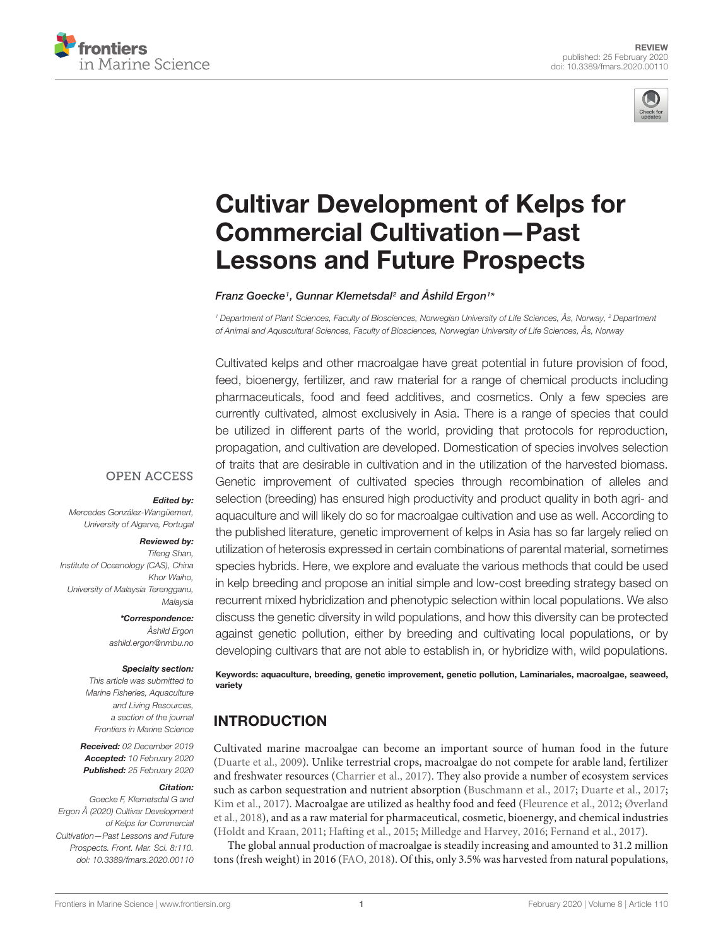



# [Cultivar Development of Kelps for](https://www.frontiersin.org/articles/10.3389/fmars.2020.00110/full) Commercial Cultivation—Past Lessons and Future Prospects

#### [Franz Goecke](http://loop.frontiersin.org/people/58300/overview)<sup>1</sup>, Gunnar Klemetsdal<sup>2</sup> and [Åshild Ergon](http://loop.frontiersin.org/people/302203/overview)<sup>1\*</sup>

<sup>1</sup> Department of Plant Sciences, Faculty of Biosciences, Norwegian University of Life Sciences, Ås, Norway, <sup>2</sup> Department of Animal and Aquacultural Sciences, Faculty of Biosciences, Norwegian University of Life Sciences, Ås, Norway

Cultivated kelps and other macroalgae have great potential in future provision of food, feed, bioenergy, fertilizer, and raw material for a range of chemical products including pharmaceuticals, food and feed additives, and cosmetics. Only a few species are currently cultivated, almost exclusively in Asia. There is a range of species that could be utilized in different parts of the world, providing that protocols for reproduction, propagation, and cultivation are developed. Domestication of species involves selection of traits that are desirable in cultivation and in the utilization of the harvested biomass. Genetic improvement of cultivated species through recombination of alleles and selection (breeding) has ensured high productivity and product quality in both agri- and aquaculture and will likely do so for macroalgae cultivation and use as well. According to the published literature, genetic improvement of kelps in Asia has so far largely relied on utilization of heterosis expressed in certain combinations of parental material, sometimes species hybrids. Here, we explore and evaluate the various methods that could be used in kelp breeding and propose an initial simple and low-cost breeding strategy based on recurrent mixed hybridization and phenotypic selection within local populations. We also discuss the genetic diversity in wild populations, and how this diversity can be protected against genetic pollution, either by breeding and cultivating local populations, or by developing cultivars that are not able to establish in, or hybridize with, wild populations.

Edited by:

**OPEN ACCESS** 

Mercedes González-Wangüemert, University of Algarve, Portugal

#### Reviewed by:

Tifeng Shan, Institute of Oceanology (CAS), China Khor Waiho, University of Malaysia Terengganu, Malaysia

> \*Correspondence: Åshild Ergon ashild.ergon@nmbu.no

#### Specialty section:

This article was submitted to Marine Fisheries, Aquaculture and Living Resources, a section of the journal Frontiers in Marine Science

Received: 02 December 2019 Accepted: 10 February 2020 Published: 25 February 2020

#### Citation:

Goecke F, Klemetsdal G and Ergon Å (2020) Cultivar Development of Kelps for Commercial Cultivation—Past Lessons and Future Prospects. Front. Mar. Sci. 8:110. doi: [10.3389/fmars.2020.00110](https://doi.org/10.3389/fmars.2020.00110)

Keywords: aquaculture, breeding, genetic improvement, genetic pollution, Laminariales, macroalgae, seaweed, variety

# INTRODUCTION

Cultivated marine macroalgae can become an important source of human food in the future [\(Duarte et al.,](#page-12-0) [2009\)](#page-12-0). Unlike terrestrial crops, macroalgae do not compete for arable land, fertilizer and freshwater resources [\(Charrier et al.,](#page-11-0) [2017\)](#page-11-0). They also provide a number of ecosystem services such as carbon sequestration and nutrient absorption [\(Buschmann et al.,](#page-11-1) [2017;](#page-11-1) [Duarte et al.,](#page-12-1) [2017;](#page-12-1) [Kim et al.,](#page-13-0) [2017\)](#page-13-0). Macroalgae are utilized as healthy food and feed [\(Fleurence et al.,](#page-12-2) [2012;](#page-12-2) [Øverland](#page-14-0) [et al.,](#page-14-0) [2018\)](#page-14-0), and as a raw material for pharmaceutical, cosmetic, bioenergy, and chemical industries [\(Holdt and Kraan,](#page-13-1) [2011;](#page-13-1) [Hafting et al.,](#page-13-2) [2015;](#page-13-2) [Milledge and Harvey,](#page-14-1) [2016;](#page-14-1) [Fernand et al.,](#page-12-3) [2017\)](#page-12-3).

The global annual production of macroalgae is steadily increasing and amounted to 31.2 million tons (fresh weight) in 2016 [\(FAO,](#page-12-4) [2018\)](#page-12-4). Of this, only 3.5% was harvested from natural populations,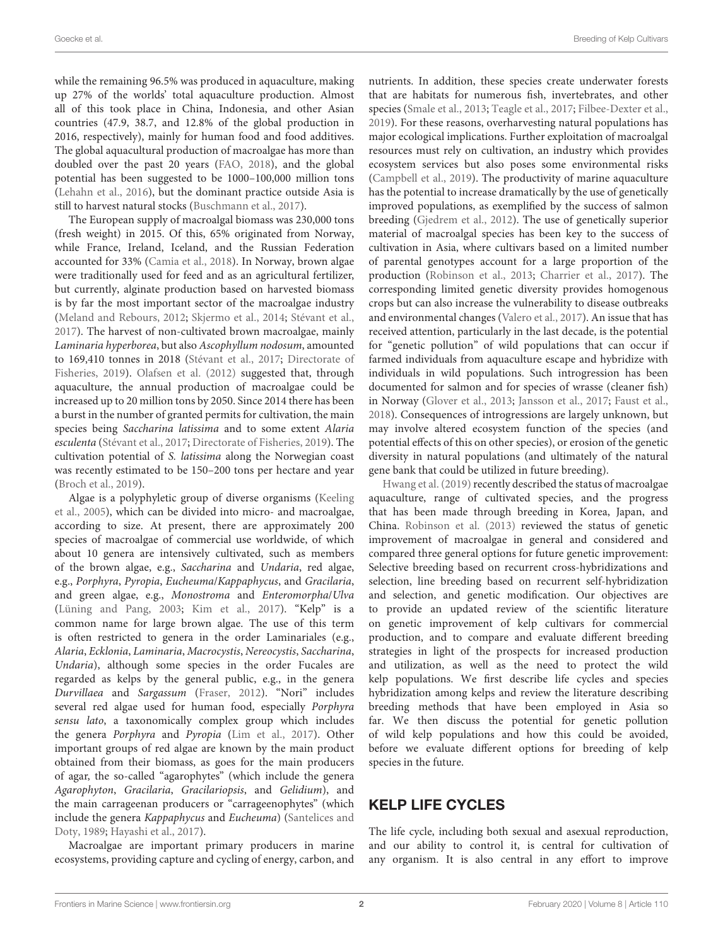while the remaining 96.5% was produced in aquaculture, making up 27% of the worlds' total aquaculture production. Almost all of this took place in China, Indonesia, and other Asian countries (47.9, 38.7, and 12.8% of the global production in 2016, respectively), mainly for human food and food additives. The global aquacultural production of macroalgae has more than doubled over the past 20 years [\(FAO,](#page-12-4) [2018\)](#page-12-4), and the global potential has been suggested to be 1000–100,000 million tons [\(Lehahn et al.,](#page-13-3) [2016\)](#page-13-3), but the dominant practice outside Asia is still to harvest natural stocks [\(Buschmann et al.,](#page-11-1) [2017\)](#page-11-1).

The European supply of macroalgal biomass was 230,000 tons (fresh weight) in 2015. Of this, 65% originated from Norway, while France, Ireland, Iceland, and the Russian Federation accounted for 33% [\(Camia et al.,](#page-11-2) [2018\)](#page-11-2). In Norway, brown algae were traditionally used for feed and as an agricultural fertilizer, but currently, alginate production based on harvested biomass is by far the most important sector of the macroalgae industry [\(Meland and Rebours,](#page-14-2) [2012;](#page-14-2) [Skjermo et al.,](#page-15-0) [2014;](#page-15-0) [Stévant et al.,](#page-15-1) [2017\)](#page-15-1). The harvest of non-cultivated brown macroalgae, mainly Laminaria hyperborea, but also Ascophyllum nodosum, amounted to 169,410 tonnes in 2018 [\(Stévant et al.,](#page-15-1) [2017;](#page-15-1) [Directorate of](#page-12-5) [Fisheries,](#page-12-5) [2019\)](#page-12-5). [Olafsen et al.](#page-14-3) [\(2012\)](#page-14-3) suggested that, through aquaculture, the annual production of macroalgae could be increased up to 20 million tons by 2050. Since 2014 there has been a burst in the number of granted permits for cultivation, the main species being Saccharina latissima and to some extent Alaria esculenta [\(Stévant et al.,](#page-15-1) [2017;](#page-15-1) [Directorate of Fisheries,](#page-12-5) [2019\)](#page-12-5). The cultivation potential of S. latissima along the Norwegian coast was recently estimated to be 150–200 tons per hectare and year [\(Broch et al.,](#page-11-3) [2019\)](#page-11-3).

Algae is a polyphyletic group of diverse organisms [\(Keeling](#page-13-4) [et al.,](#page-13-4) [2005\)](#page-13-4), which can be divided into micro- and macroalgae, according to size. At present, there are approximately 200 species of macroalgae of commercial use worldwide, of which about 10 genera are intensively cultivated, such as members of the brown algae, e.g., Saccharina and Undaria, red algae, e.g., Porphyra, Pyropia, Eucheuma/Kappaphycus, and Gracilaria, and green algae, e.g., Monostroma and Enteromorpha/Ulva [\(Lüning and Pang,](#page-14-4) [2003;](#page-14-4) [Kim et al.,](#page-13-0) [2017\)](#page-13-0). "Kelp" is a common name for large brown algae. The use of this term is often restricted to genera in the order Laminariales (e.g., Alaria, Ecklonia, Laminaria, Macrocystis, Nereocystis, Saccharina, Undaria), although some species in the order Fucales are regarded as kelps by the general public, e.g., in the genera Durvillaea and Sargassum [\(Fraser,](#page-12-6) [2012\)](#page-12-6). "Nori" includes several red algae used for human food, especially Porphyra sensu lato, a taxonomically complex group which includes the genera Porphyra and Pyropia [\(Lim et al.,](#page-13-5) [2017\)](#page-13-5). Other important groups of red algae are known by the main product obtained from their biomass, as goes for the main producers of agar, the so-called "agarophytes" (which include the genera Agarophyton, Gracilaria, Gracilariopsis, and Gelidium), and the main carrageenan producers or "carrageenophytes" (which include the genera Kappaphycus and Eucheuma) [\(Santelices and](#page-15-2) [Doty,](#page-15-2) [1989;](#page-15-2) [Hayashi et al.,](#page-13-6) [2017\)](#page-13-6).

Macroalgae are important primary producers in marine ecosystems, providing capture and cycling of energy, carbon, and

nutrients. In addition, these species create underwater forests that are habitats for numerous fish, invertebrates, and other species [\(Smale et al.,](#page-15-3) [2013;](#page-15-3) [Teagle et al.,](#page-15-4) [2017;](#page-15-4) [Filbee-Dexter et al.,](#page-12-7) [2019\)](#page-12-7). For these reasons, overharvesting natural populations has major ecological implications. Further exploitation of macroalgal resources must rely on cultivation, an industry which provides ecosystem services but also poses some environmental risks [\(Campbell et al.,](#page-11-4) [2019\)](#page-11-4). The productivity of marine aquaculture has the potential to increase dramatically by the use of genetically improved populations, as exemplified by the success of salmon breeding [\(Gjedrem et al.,](#page-12-8) [2012\)](#page-12-8). The use of genetically superior material of macroalgal species has been key to the success of cultivation in Asia, where cultivars based on a limited number of parental genotypes account for a large proportion of the production [\(Robinson et al.,](#page-15-5) [2013;](#page-15-5) [Charrier et al.,](#page-11-0) [2017\)](#page-11-0). The corresponding limited genetic diversity provides homogenous crops but can also increase the vulnerability to disease outbreaks and environmental changes [\(Valero et al.,](#page-15-6) [2017\)](#page-15-6). An issue that has received attention, particularly in the last decade, is the potential for "genetic pollution" of wild populations that can occur if farmed individuals from aquaculture escape and hybridize with individuals in wild populations. Such introgression has been documented for salmon and for species of wrasse (cleaner fish) in Norway [\(Glover et al.,](#page-12-9) [2013;](#page-12-9) [Jansson et al.,](#page-13-7) [2017;](#page-13-7) [Faust et al.,](#page-12-10) [2018\)](#page-12-10). Consequences of introgressions are largely unknown, but may involve altered ecosystem function of the species (and potential effects of this on other species), or erosion of the genetic diversity in natural populations (and ultimately of the natural gene bank that could be utilized in future breeding).

Hwang et al. (2019) recently described the status of macroalgae aquaculture, range of cultivated species, and the progress that has been made through breeding in Korea, Japan, and China. [Robinson et al.](#page-15-5) [\(2013\)](#page-15-5) reviewed the status of genetic improvement of macroalgae in general and considered and compared three general options for future genetic improvement: Selective breeding based on recurrent cross-hybridizations and selection, line breeding based on recurrent self-hybridization and selection, and genetic modification. Our objectives are to provide an updated review of the scientific literature on genetic improvement of kelp cultivars for commercial production, and to compare and evaluate different breeding strategies in light of the prospects for increased production and utilization, as well as the need to protect the wild kelp populations. We first describe life cycles and species hybridization among kelps and review the literature describing breeding methods that have been employed in Asia so far. We then discuss the potential for genetic pollution of wild kelp populations and how this could be avoided, before we evaluate different options for breeding of kelp species in the future.

## KELP LIFE CYCLES

The life cycle, including both sexual and asexual reproduction, and our ability to control it, is central for cultivation of any organism. It is also central in any effort to improve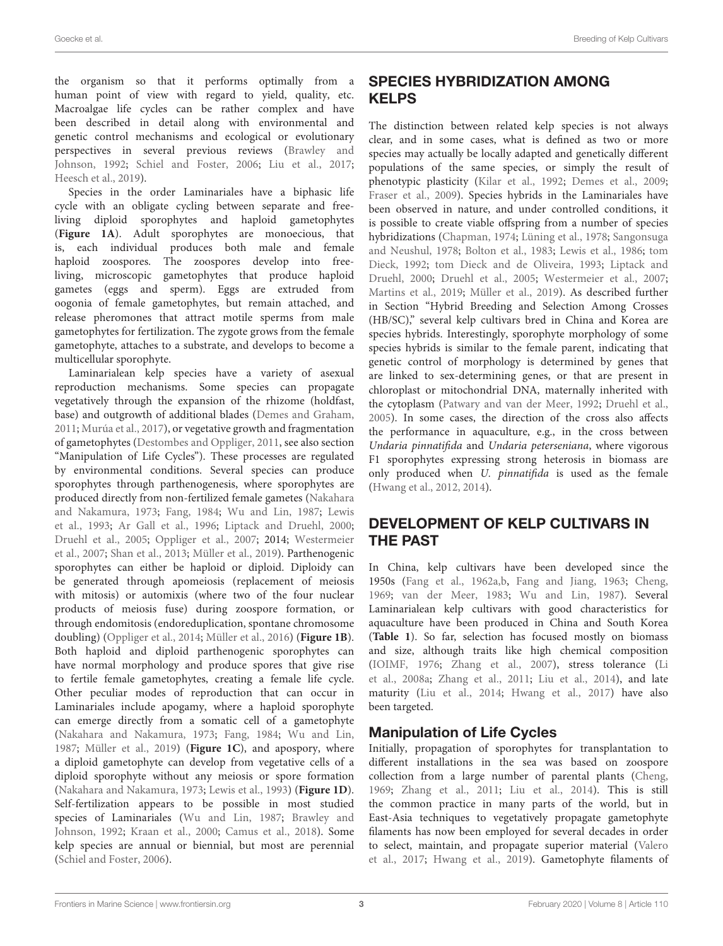the organism so that it performs optimally from a human point of view with regard to yield, quality, etc. Macroalgae life cycles can be rather complex and have been described in detail along with environmental and genetic control mechanisms and ecological or evolutionary perspectives in several previous reviews [\(Brawley and](#page-11-5) [Johnson,](#page-11-5) [1992;](#page-11-5) [Schiel and Foster,](#page-15-7) [2006;](#page-15-7) [Liu et al.,](#page-14-5) [2017;](#page-14-5) [Heesch et al.,](#page-13-9) [2019\)](#page-13-9).

Species in the order Laminariales have a biphasic life cycle with an obligate cycling between separate and freeliving diploid sporophytes and haploid gametophytes (**[Figure 1A](#page-3-0)**). Adult sporophytes are monoecious, that is, each individual produces both male and female haploid zoospores. The zoospores develop into freeliving, microscopic gametophytes that produce haploid gametes (eggs and sperm). Eggs are extruded from oogonia of female gametophytes, but remain attached, and release pheromones that attract motile sperms from male gametophytes for fertilization. The zygote grows from the female gametophyte, attaches to a substrate, and develops to become a multicellular sporophyte.

Laminarialean kelp species have a variety of asexual reproduction mechanisms. Some species can propagate vegetatively through the expansion of the rhizome (holdfast, base) and outgrowth of additional blades [\(Demes and Graham,](#page-12-11) [2011;](#page-12-11) [Murúa et al.,](#page-14-6) [2017\)](#page-14-6), or vegetative growth and fragmentation of gametophytes [\(Destombes and Oppliger,](#page-12-12) [2011,](#page-12-12) see also section "Manipulation of Life Cycles"). These processes are regulated by environmental conditions. Several species can produce sporophytes through parthenogenesis, where sporophytes are produced directly from non-fertilized female gametes [\(Nakahara](#page-14-7) [and Nakamura,](#page-14-7) [1973;](#page-14-7) [Fang,](#page-12-13) [1984;](#page-12-13) [Wu and Lin,](#page-15-8) [1987;](#page-15-8) [Lewis](#page-13-10) [et al.,](#page-13-10) [1993;](#page-13-10) [Ar Gall et al.,](#page-11-6) [1996;](#page-11-6) [Liptack and Druehl,](#page-13-11) [2000;](#page-13-11) [Druehl et al.,](#page-12-14) [2005;](#page-12-14) [Oppliger et al.,](#page-14-8) [2007;](#page-14-8) 2014; [Westermeier](#page-15-9) [et al.,](#page-15-9) [2007;](#page-15-9) [Shan et al.,](#page-15-10) [2013;](#page-15-10) [Müller et al.,](#page-14-9) [2019\)](#page-14-9). Parthenogenic sporophytes can either be haploid or diploid. Diploidy can be generated through apomeiosis (replacement of meiosis with mitosis) or automixis (where two of the four nuclear products of meiosis fuse) during zoospore formation, or through endomitosis (endoreduplication, spontane chromosome doubling) [\(Oppliger et al.,](#page-14-10) [2014;](#page-14-10) [Müller et al.,](#page-14-11) [2016\)](#page-14-11) (**[Figure 1B](#page-3-0)**). Both haploid and diploid parthenogenic sporophytes can have normal morphology and produce spores that give rise to fertile female gametophytes, creating a female life cycle. Other peculiar modes of reproduction that can occur in Laminariales include apogamy, where a haploid sporophyte can emerge directly from a somatic cell of a gametophyte [\(Nakahara and Nakamura,](#page-14-7) [1973;](#page-14-7) [Fang,](#page-12-13) [1984;](#page-12-13) [Wu and Lin,](#page-15-8) [1987;](#page-15-8) [Müller et al.,](#page-14-9) [2019\)](#page-14-9) (**[Figure 1C](#page-3-0)**), and apospory, where a diploid gametophyte can develop from vegetative cells of a diploid sporophyte without any meiosis or spore formation [\(Nakahara and Nakamura,](#page-14-7) [1973;](#page-14-7) [Lewis et al.,](#page-13-10) [1993\)](#page-13-10) (**[Figure 1D](#page-3-0)**). Self-fertilization appears to be possible in most studied species of Laminariales [\(Wu and Lin,](#page-15-8) [1987;](#page-15-8) [Brawley and](#page-11-5) [Johnson,](#page-11-5) [1992;](#page-11-5) [Kraan et al.,](#page-13-12) [2000;](#page-13-12) [Camus et al.,](#page-11-7) [2018\)](#page-11-7). Some kelp species are annual or biennial, but most are perennial [\(Schiel and Foster,](#page-15-7) [2006\)](#page-15-7).

# SPECIES HYBRIDIZATION AMONG KELPS

The distinction between related kelp species is not always clear, and in some cases, what is defined as two or more species may actually be locally adapted and genetically different populations of the same species, or simply the result of phenotypic plasticity [\(Kilar et al.,](#page-13-13) [1992;](#page-13-13) [Demes et al.,](#page-12-15) [2009;](#page-12-15) [Fraser et al.,](#page-12-16) [2009\)](#page-12-16). Species hybrids in the Laminariales have been observed in nature, and under controlled conditions, it is possible to create viable offspring from a number of species hybridizations [\(Chapman,](#page-11-8) [1974;](#page-11-8) [Lüning et al.,](#page-14-12) [1978;](#page-14-12) [Sangonsuga](#page-15-11) [and Neushul,](#page-15-11) [1978;](#page-15-11) [Bolton et al.,](#page-11-9) [1983;](#page-11-9) [Lewis et al.,](#page-13-14) [1986;](#page-13-14) [tom](#page-15-12) [Dieck,](#page-15-12) [1992;](#page-15-12) [tom Dieck and de Oliveira,](#page-15-13) [1993;](#page-15-13) [Liptack and](#page-13-11) [Druehl,](#page-13-11) [2000;](#page-13-11) [Druehl et al.,](#page-12-14) [2005;](#page-12-14) [Westermeier et al.,](#page-15-9) [2007;](#page-15-9) [Martins et al.,](#page-14-13) [2019;](#page-14-13) [Müller et al.,](#page-14-9) [2019\)](#page-14-9). As described further in Section "Hybrid Breeding and Selection Among Crosses (HB/SC)," several kelp cultivars bred in China and Korea are species hybrids. Interestingly, sporophyte morphology of some species hybrids is similar to the female parent, indicating that genetic control of morphology is determined by genes that are linked to sex-determining genes, or that are present in chloroplast or mitochondrial DNA, maternally inherited with the cytoplasm [\(Patwary and van der Meer,](#page-14-14) [1992;](#page-14-14) [Druehl et al.,](#page-12-14) [2005\)](#page-12-14). In some cases, the direction of the cross also affects the performance in aquaculture, e.g., in the cross between Undaria pinnatifida and Undaria peterseniana, where vigorous F1 sporophytes expressing strong heterosis in biomass are only produced when U. pinnatifida is used as the female [\(Hwang et al.,](#page-13-15) [2012,](#page-13-15) [2014\)](#page-13-16).

# DEVELOPMENT OF KELP CULTIVARS IN THE PAST

In China, kelp cultivars have been developed since the 1950s [\(Fang et al.,](#page-12-17) [1962a,](#page-12-17)[b,](#page-12-18) [Fang and Jiang,](#page-12-19) [1963;](#page-12-19) [Cheng,](#page-11-10) [1969;](#page-11-10) [van der Meer,](#page-15-14) [1983;](#page-15-14) [Wu and Lin,](#page-15-8) [1987\)](#page-15-8). Several Laminarialean kelp cultivars with good characteristics for aquaculture have been produced in China and South Korea (**[Table 1](#page-4-0)**). So far, selection has focused mostly on biomass and size, although traits like high chemical composition [\(IOIMF,](#page-13-17) [1976;](#page-13-17) [Zhang et al.,](#page-16-0) [2007\)](#page-16-0), stress tolerance [\(Li](#page-13-18) [et al.,](#page-13-18) [2008a;](#page-13-18) [Zhang et al.,](#page-16-1) [2011;](#page-16-1) [Liu et al.,](#page-14-15) [2014\)](#page-14-15), and late maturity [\(Liu et al.,](#page-14-15) [2014;](#page-14-15) [Hwang et al.,](#page-13-19) [2017\)](#page-13-19) have also been targeted.

## Manipulation of Life Cycles

Initially, propagation of sporophytes for transplantation to different installations in the sea was based on zoospore collection from a large number of parental plants [\(Cheng,](#page-11-10) [1969;](#page-11-10) [Zhang et al.,](#page-16-1) [2011;](#page-16-1) [Liu et al.,](#page-14-15) [2014\)](#page-14-15). This is still the common practice in many parts of the world, but in East-Asia techniques to vegetatively propagate gametophyte filaments has now been employed for several decades in order to select, maintain, and propagate superior material [\(Valero](#page-15-6) [et al.,](#page-15-6) [2017;](#page-15-6) [Hwang et al.,](#page-13-8) [2019\)](#page-13-8). Gametophyte filaments of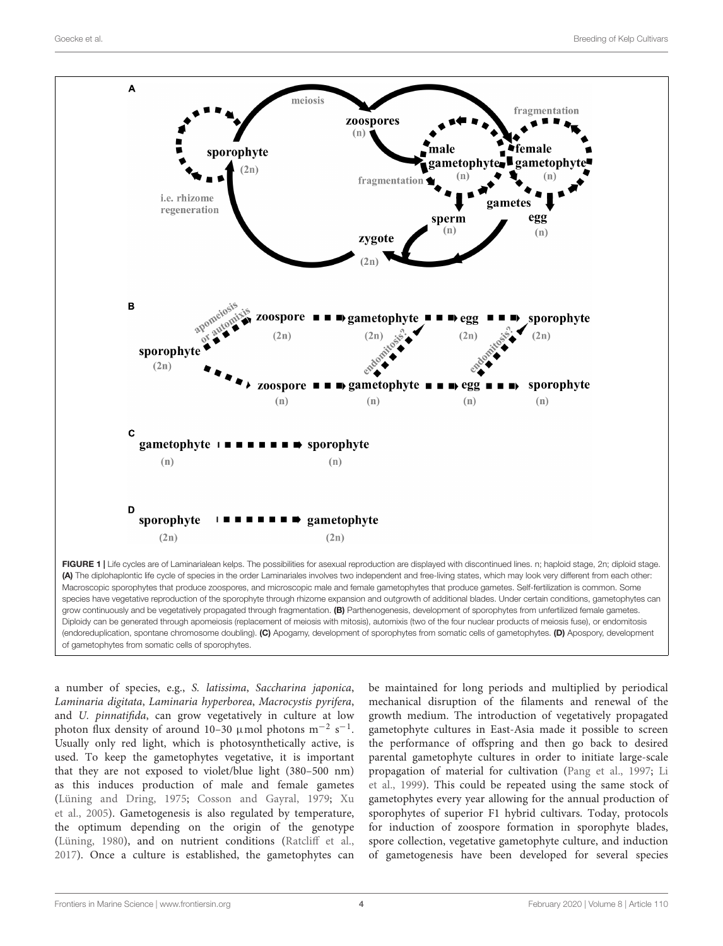

<span id="page-3-0"></span>of gametophytes from somatic cells of sporophytes.

a number of species, e.g., S. latissima, Saccharina japonica, Laminaria digitata, Laminaria hyperborea, Macrocystis pyrifera, and U. pinnatifida, can grow vegetatively in culture at low photon flux density of around 10–30 µmol photons m<sup>-2</sup> s<sup>-1</sup>. Usually only red light, which is photosynthetically active, is used. To keep the gametophytes vegetative, it is important that they are not exposed to violet/blue light (380–500 nm) as this induces production of male and female gametes [\(Lüning and Dring,](#page-14-16) [1975;](#page-14-16) [Cosson and Gayral,](#page-11-11) [1979;](#page-11-11) [Xu](#page-15-15) [et al.,](#page-15-15) [2005\)](#page-15-15). Gametogenesis is also regulated by temperature, the optimum depending on the origin of the genotype [\(Lüning,](#page-14-17) [1980\)](#page-14-17), and on nutrient conditions [\(Ratcliff et al.,](#page-15-16) [2017\)](#page-15-16). Once a culture is established, the gametophytes can

be maintained for long periods and multiplied by periodical mechanical disruption of the filaments and renewal of the growth medium. The introduction of vegetatively propagated gametophyte cultures in East-Asia made it possible to screen the performance of offspring and then go back to desired parental gametophyte cultures in order to initiate large-scale propagation of material for cultivation [\(Pang et al.,](#page-14-18) [1997;](#page-14-18) [Li](#page-13-20) [et al.,](#page-13-20) [1999\)](#page-13-20). This could be repeated using the same stock of gametophytes every year allowing for the annual production of sporophytes of superior F1 hybrid cultivars. Today, protocols for induction of zoospore formation in sporophyte blades, spore collection, vegetative gametophyte culture, and induction of gametogenesis have been developed for several species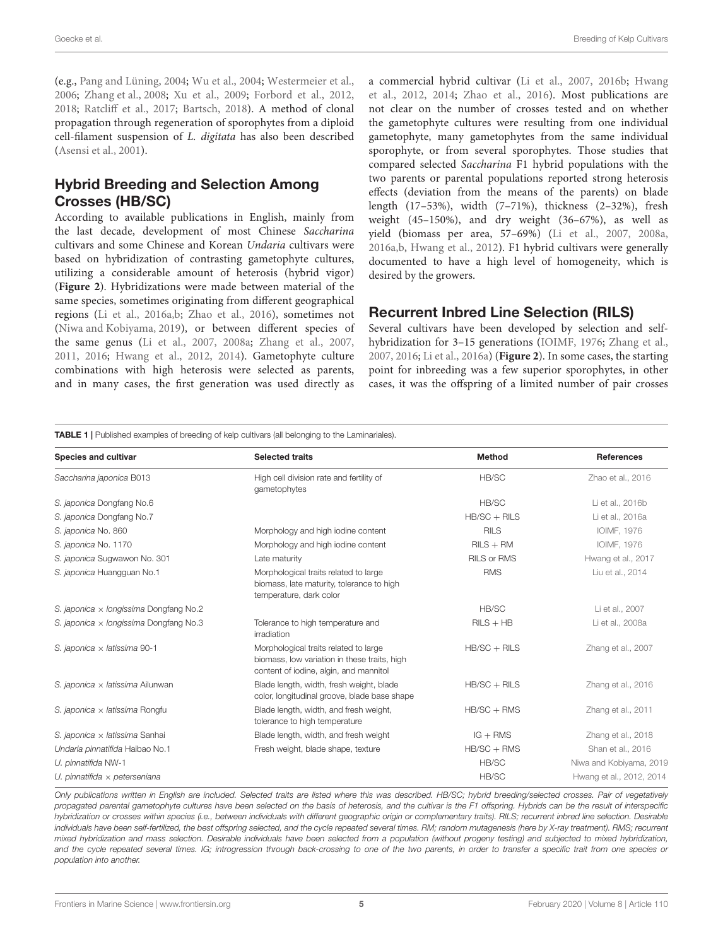(e.g., [Pang and Lüning,](#page-14-19) [2004;](#page-14-19) [Wu et al.,](#page-15-17) [2004;](#page-15-17) [Westermeier et al.,](#page-15-18) [2006;](#page-15-18) [Zhang et al.,](#page-16-2) [2008;](#page-16-2) [Xu et al.,](#page-15-19) [2009;](#page-15-19) [Forbord et al.,](#page-12-20) [2012,](#page-12-20) [2018;](#page-12-21) [Ratcliff et al.,](#page-15-16) [2017;](#page-15-16) [Bartsch,](#page-11-12) [2018\)](#page-11-12). A method of clonal propagation through regeneration of sporophytes from a diploid cell-filament suspension of L. digitata has also been described [\(Asensi et al.,](#page-11-13) [2001\)](#page-11-13).

# Hybrid Breeding and Selection Among Crosses (HB/SC)

According to available publications in English, mainly from the last decade, development of most Chinese Saccharina cultivars and some Chinese and Korean Undaria cultivars were based on hybridization of contrasting gametophyte cultures, utilizing a considerable amount of heterosis (hybrid vigor) (**[Figure 2](#page-5-0)**). Hybridizations were made between material of the same species, sometimes originating from different geographical regions [\(Li et al.,](#page-13-21) [2016a,](#page-13-21)[b;](#page-13-22) [Zhao et al.,](#page-16-3) [2016\)](#page-16-3), sometimes not [\(Niwa and Kobiyama,](#page-14-20) [2019\)](#page-14-20), or between different species of the same genus [\(Li et al.,](#page-13-23) [2007,](#page-13-23) [2008a;](#page-13-18) [Zhang et al.,](#page-16-0) [2007,](#page-16-0) [2011,](#page-16-1) [2016;](#page-16-4) [Hwang et al.,](#page-13-15) [2012,](#page-13-15) [2014\)](#page-13-16). Gametophyte culture combinations with high heterosis were selected as parents, and in many cases, the first generation was used directly as a commercial hybrid cultivar [\(Li et al.,](#page-13-23) [2007,](#page-13-23) [2016b;](#page-13-22) [Hwang](#page-13-15) [et al.,](#page-13-15) [2012,](#page-13-15) [2014;](#page-13-16) [Zhao et al.,](#page-16-3) [2016\)](#page-16-3). Most publications are not clear on the number of crosses tested and on whether the gametophyte cultures were resulting from one individual gametophyte, many gametophytes from the same individual sporophyte, or from several sporophytes. Those studies that compared selected Saccharina F1 hybrid populations with the two parents or parental populations reported strong heterosis effects (deviation from the means of the parents) on blade length (17–53%), width (7–71%), thickness (2–32%), fresh weight (45–150%), and dry weight (36–67%), as well as yield (biomass per area, 57–69%) [\(Li et al.,](#page-13-23) [2007,](#page-13-23) [2008a,](#page-13-18) [2016a](#page-13-21)[,b,](#page-13-22) [Hwang et al.,](#page-13-15) [2012\)](#page-13-15). F1 hybrid cultivars were generally documented to have a high level of homogeneity, which is desired by the growers.

#### Recurrent Inbred Line Selection (RILS)

Several cultivars have been developed by selection and selfhybridization for 3–15 generations [\(IOIMF,](#page-13-17) [1976;](#page-13-17) [Zhang et al.,](#page-16-0) [2007,](#page-16-0) [2016;](#page-16-4) [Li et al.,](#page-13-21) [2016a\)](#page-13-21) (**[Figure 2](#page-5-0)**). In some cases, the starting point for inbreeding was a few superior sporophytes, in other cases, it was the offspring of a limited number of pair crosses

<span id="page-4-0"></span>

| Species and cultivar                          | <b>Selected traits</b>                                                                                                          | <b>Method</b>      | <b>References</b>        |
|-----------------------------------------------|---------------------------------------------------------------------------------------------------------------------------------|--------------------|--------------------------|
| Saccharina japonica B013                      | High cell division rate and fertility of<br>gametophytes                                                                        | HB/SC              | Zhao et al., 2016        |
| S. japonica Dongfang No.6                     |                                                                                                                                 | HB/SC              | Li et al., 2016b         |
| S. japonica Dongfang No.7                     |                                                                                                                                 | $HB/SC + RILS$     | Li et al., 2016a         |
| S. japonica No. 860                           | Morphology and high iodine content                                                                                              | <b>RILS</b>        | <b>IOIMF, 1976</b>       |
| S. japonica No. 1170                          | Morphology and high iodine content                                                                                              | $RILS + RM$        | <b>IOIMF, 1976</b>       |
| S. japonica Sugwawon No. 301                  | Late maturity                                                                                                                   | <b>RILS or RMS</b> | Hwang et al., 2017       |
| S. japonica Huangguan No.1                    | Morphological traits related to large<br>biomass, late maturity, tolerance to high<br>temperature, dark color                   | <b>RMS</b>         | Liu et al., 2014         |
| S. japonica $\times$ longissima Dongfang No.2 |                                                                                                                                 | HB/SC              | Li et al., 2007          |
| S. japonica x longissima Dongfang No.3        | Tolerance to high temperature and<br>irradiation                                                                                | $RILS + HB$        | Li et al., 2008a         |
| S. japonica x latissima 90-1                  | Morphological traits related to large<br>biomass, low variation in these traits, high<br>content of iodine, algin, and mannitol | $HB/SC + RILS$     | Zhang et al., 2007       |
| S. japonica x latissima Ailunwan              | Blade length, width, fresh weight, blade<br>color, longitudinal groove, blade base shape                                        | $HB/SC + RILS$     | Zhang et al., 2016       |
| S. japonica x latissima Rongfu                | Blade length, width, and fresh weight,<br>tolerance to high temperature                                                         | $HB/SC + RMS$      | Zhang et al., 2011       |
| S. japonica x latissima Sanhai                | Blade length, width, and fresh weight                                                                                           | $IG + RMS$         | Zhang et al., 2018       |
| Undaria pinnatifida Haibao No.1               | Fresh weight, blade shape, texture                                                                                              | $HB/SC + RMS$      | Shan et al., 2016        |
| U. pinnatifida NW-1                           |                                                                                                                                 | HB/SC              | Niwa and Kobiyama, 2019  |
| U. pinnatifida $\times$ peterseniana          |                                                                                                                                 | HB/SC              | Hwang et al., 2012, 2014 |

Only publications written in English are included. Selected traits are listed where this was described. HB/SC; hybrid breeding/selected crosses. Pair of vegetatively propagated parental gametophyte cultures have been selected on the basis of heterosis, and the cultivar is the F1 offspring. Hybrids can be the result of interspecific hybridization or crosses within species (i.e., between individuals with different geographic origin or complementary traits). RILS; recurrent inbred line selection. Desirable individuals have been self-fertilized, the best offspring selected, and the cycle repeated several times. RM; random mutagenesis (here by X-ray treatment). RMS; recurrent mixed hybridization and mass selection. Desirable individuals have been selected from a population (without progeny testing) and subjected to mixed hybridization, and the cycle repeated several times. IG; introgression through back-crossing to one of the two parents, in order to transfer a specific trait from one species or population into another.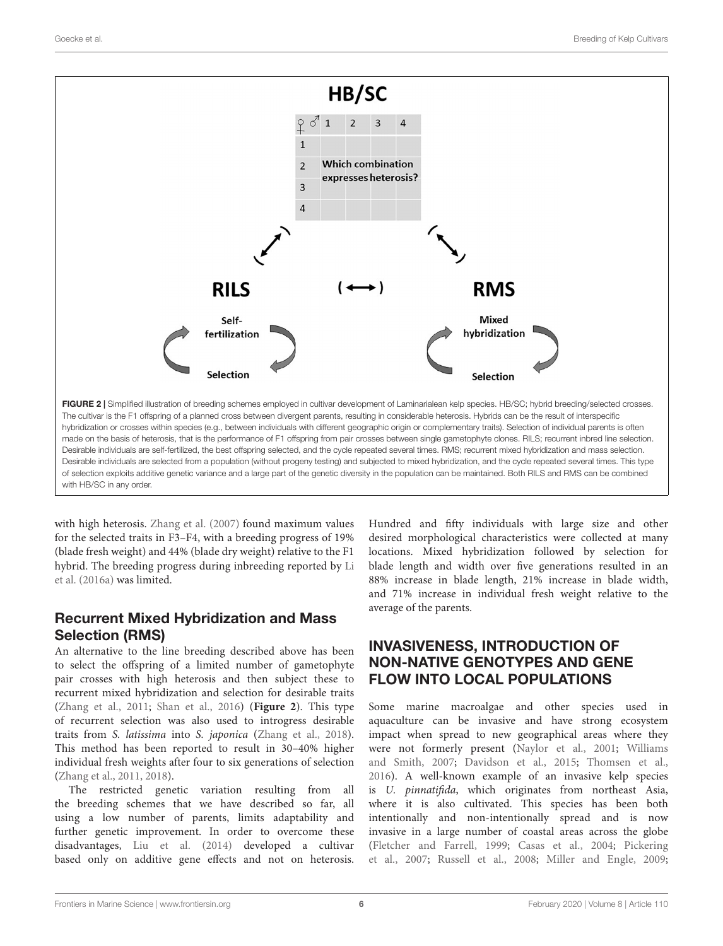

<span id="page-5-0"></span>with high heterosis. [Zhang et al.](#page-16-0) [\(2007\)](#page-16-0) found maximum values for the selected traits in F3–F4, with a breeding progress of 19% (blade fresh weight) and 44% (blade dry weight) relative to the F1 hybrid. The breeding progress during inbreeding reported by [Li](#page-13-21) [et al.](#page-13-21) [\(2016a\)](#page-13-21) was limited.

# Recurrent Mixed Hybridization and Mass Selection (RMS)

An alternative to the line breeding described above has been to select the offspring of a limited number of gametophyte pair crosses with high heterosis and then subject these to recurrent mixed hybridization and selection for desirable traits [\(Zhang et al.,](#page-16-1) [2011;](#page-16-1) [Shan et al.,](#page-15-20) [2016\)](#page-15-20) (**[Figure 2](#page-5-0)**). This type of recurrent selection was also used to introgress desirable traits from S. latissima into S. japonica [\(Zhang et al.,](#page-16-5) [2018\)](#page-16-5). This method has been reported to result in 30–40% higher individual fresh weights after four to six generations of selection [\(Zhang et al.,](#page-16-1) [2011,](#page-16-1) [2018\)](#page-16-5).

The restricted genetic variation resulting from all the breeding schemes that we have described so far, all using a low number of parents, limits adaptability and further genetic improvement. In order to overcome these disadvantages, [Liu et al.](#page-14-15) [\(2014\)](#page-14-15) developed a cultivar based only on additive gene effects and not on heterosis. Hundred and fifty individuals with large size and other desired morphological characteristics were collected at many locations. Mixed hybridization followed by selection for blade length and width over five generations resulted in an 88% increase in blade length, 21% increase in blade width, and 71% increase in individual fresh weight relative to the average of the parents.

# INVASIVENESS, INTRODUCTION OF NON-NATIVE GENOTYPES AND GENE FLOW INTO LOCAL POPULATIONS

Some marine macroalgae and other species used in aquaculture can be invasive and have strong ecosystem impact when spread to new geographical areas where they were not formerly present [\(Naylor et al.,](#page-14-21) [2001;](#page-14-21) [Williams](#page-15-21) [and Smith,](#page-15-21) [2007;](#page-15-21) [Davidson et al.,](#page-12-22) [2015;](#page-12-22) [Thomsen et al.,](#page-15-22) [2016\)](#page-15-22). A well-known example of an invasive kelp species is U. pinnatifida, which originates from northeast Asia, where it is also cultivated. This species has been both intentionally and non-intentionally spread and is now invasive in a large number of coastal areas across the globe [\(Fletcher and Farrell,](#page-12-23) [1999;](#page-12-23) [Casas et al.,](#page-11-14) [2004;](#page-11-14) [Pickering](#page-15-23) [et al.,](#page-15-23) [2007;](#page-15-23) [Russell et al.,](#page-15-24) [2008;](#page-15-24) [Miller and Engle,](#page-14-22) [2009;](#page-14-22)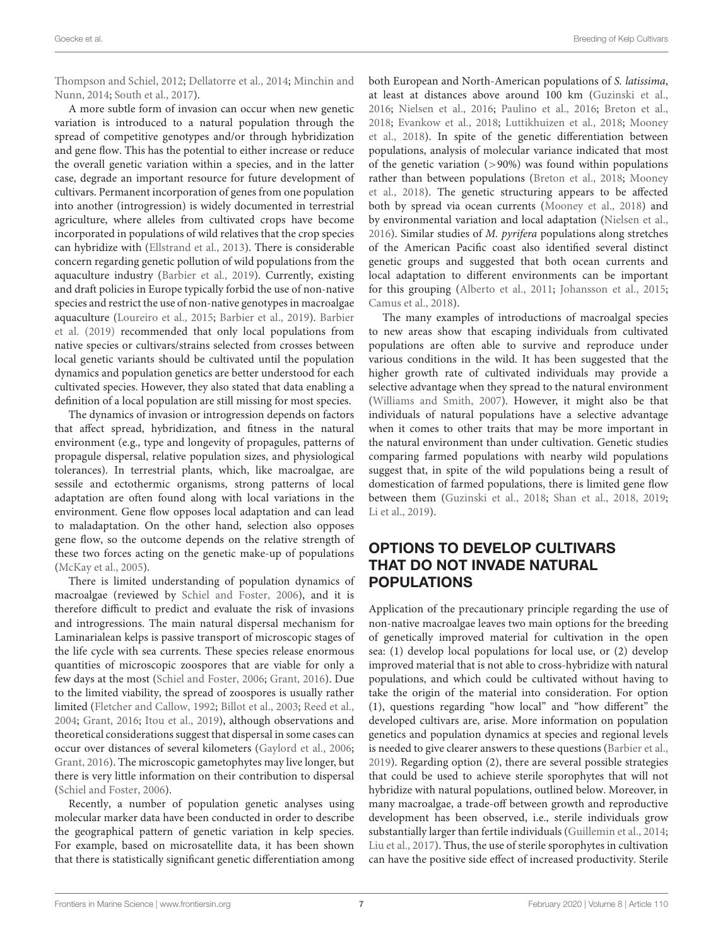[Thompson and Schiel,](#page-15-25) [2012;](#page-15-25) [Dellatorre et al.,](#page-12-24) [2014;](#page-12-24) [Minchin and](#page-14-23) [Nunn,](#page-14-23) [2014;](#page-14-23) [South et al.,](#page-15-26) [2017\)](#page-15-26).

A more subtle form of invasion can occur when new genetic variation is introduced to a natural population through the spread of competitive genotypes and/or through hybridization and gene flow. This has the potential to either increase or reduce the overall genetic variation within a species, and in the latter case, degrade an important resource for future development of cultivars. Permanent incorporation of genes from one population into another (introgression) is widely documented in terrestrial agriculture, where alleles from cultivated crops have become incorporated in populations of wild relatives that the crop species can hybridize with [\(Ellstrand et al.,](#page-12-25) [2013\)](#page-12-25). There is considerable concern regarding genetic pollution of wild populations from the aquaculture industry [\(Barbier et al.,](#page-11-15) [2019\)](#page-11-15). Currently, existing and draft policies in Europe typically forbid the use of non-native species and restrict the use of non-native genotypes in macroalgae aquaculture [\(Loureiro et al.,](#page-14-24) [2015;](#page-14-24) [Barbier et al.,](#page-11-15) [2019\)](#page-11-15). [Barbier](#page-11-15) [et al.](#page-11-15) [\(2019\)](#page-11-15) recommended that only local populations from native species or cultivars/strains selected from crosses between local genetic variants should be cultivated until the population dynamics and population genetics are better understood for each cultivated species. However, they also stated that data enabling a definition of a local population are still missing for most species.

The dynamics of invasion or introgression depends on factors that affect spread, hybridization, and fitness in the natural environment (e.g., type and longevity of propagules, patterns of propagule dispersal, relative population sizes, and physiological tolerances). In terrestrial plants, which, like macroalgae, are sessile and ectothermic organisms, strong patterns of local adaptation are often found along with local variations in the environment. Gene flow opposes local adaptation and can lead to maladaptation. On the other hand, selection also opposes gene flow, so the outcome depends on the relative strength of these two forces acting on the genetic make-up of populations [\(McKay et al.,](#page-14-25) [2005\)](#page-14-25).

There is limited understanding of population dynamics of macroalgae (reviewed by [Schiel and Foster,](#page-15-7) [2006\)](#page-15-7), and it is therefore difficult to predict and evaluate the risk of invasions and introgressions. The main natural dispersal mechanism for Laminarialean kelps is passive transport of microscopic stages of the life cycle with sea currents. These species release enormous quantities of microscopic zoospores that are viable for only a few days at the most [\(Schiel and Foster,](#page-15-7) [2006;](#page-15-7) [Grant,](#page-12-26) [2016\)](#page-12-26). Due to the limited viability, the spread of zoospores is usually rather limited [\(Fletcher and Callow,](#page-12-27) [1992;](#page-12-27) [Billot et al.,](#page-11-16) [2003;](#page-11-16) [Reed et al.,](#page-15-27) [2004;](#page-15-27) [Grant,](#page-12-26) [2016;](#page-12-26) [Itou et al.,](#page-13-24) [2019\)](#page-13-24), although observations and theoretical considerations suggest that dispersal in some cases can occur over distances of several kilometers [\(Gaylord et al.,](#page-12-28) [2006;](#page-12-28) [Grant,](#page-12-26) [2016\)](#page-12-26). The microscopic gametophytes may live longer, but there is very little information on their contribution to dispersal [\(Schiel and Foster,](#page-15-7) [2006\)](#page-15-7).

Recently, a number of population genetic analyses using molecular marker data have been conducted in order to describe the geographical pattern of genetic variation in kelp species. For example, based on microsatellite data, it has been shown that there is statistically significant genetic differentiation among both European and North-American populations of S. latissima, at least at distances above around 100 km [\(Guzinski et al.,](#page-12-29) [2016;](#page-12-29) [Nielsen et al.,](#page-14-26) [2016;](#page-14-26) [Paulino et al.,](#page-14-27) [2016;](#page-14-27) [Breton et al.,](#page-11-17) [2018;](#page-11-17) [Evankow et al.,](#page-12-30) [2018;](#page-12-30) [Luttikhuizen et al.,](#page-14-28) [2018;](#page-14-28) [Mooney](#page-14-29) [et al.,](#page-14-29) [2018\)](#page-14-29). In spite of the genetic differentiation between populations, analysis of molecular variance indicated that most of the genetic variation (>90%) was found within populations rather than between populations [\(Breton et al.,](#page-11-17) [2018;](#page-11-17) [Mooney](#page-14-29) [et al.,](#page-14-29) [2018\)](#page-14-29). The genetic structuring appears to be affected both by spread via ocean currents [\(Mooney et al.,](#page-14-29) [2018\)](#page-14-29) and by environmental variation and local adaptation [\(Nielsen et al.,](#page-14-26) [2016\)](#page-14-26). Similar studies of M. pyrifera populations along stretches of the American Pacific coast also identified several distinct genetic groups and suggested that both ocean currents and local adaptation to different environments can be important for this grouping [\(Alberto et al.,](#page-11-18) [2011;](#page-11-18) [Johansson et al.,](#page-13-25) [2015;](#page-13-25) [Camus et al.,](#page-11-7) [2018\)](#page-11-7).

The many examples of introductions of macroalgal species to new areas show that escaping individuals from cultivated populations are often able to survive and reproduce under various conditions in the wild. It has been suggested that the higher growth rate of cultivated individuals may provide a selective advantage when they spread to the natural environment [\(Williams and Smith,](#page-15-21) [2007\)](#page-15-21). However, it might also be that individuals of natural populations have a selective advantage when it comes to other traits that may be more important in the natural environment than under cultivation. Genetic studies comparing farmed populations with nearby wild populations suggest that, in spite of the wild populations being a result of domestication of farmed populations, there is limited gene flow between them [\(Guzinski et al.,](#page-12-31) [2018;](#page-12-31) [Shan et al.,](#page-15-28) [2018,](#page-15-28) [2019;](#page-15-29) [Li et al.,](#page-13-26) [2019\)](#page-13-26).

# OPTIONS TO DEVELOP CULTIVARS THAT DO NOT INVADE NATURAL POPULATIONS

Application of the precautionary principle regarding the use of non-native macroalgae leaves two main options for the breeding of genetically improved material for cultivation in the open sea: (1) develop local populations for local use, or (2) develop improved material that is not able to cross-hybridize with natural populations, and which could be cultivated without having to take the origin of the material into consideration. For option (1), questions regarding "how local" and "how different" the developed cultivars are, arise. More information on population genetics and population dynamics at species and regional levels is needed to give clearer answers to these questions [\(Barbier et al.,](#page-11-15) [2019\)](#page-11-15). Regarding option (2), there are several possible strategies that could be used to achieve sterile sporophytes that will not hybridize with natural populations, outlined below. Moreover, in many macroalgae, a trade-off between growth and reproductive development has been observed, i.e., sterile individuals grow substantially larger than fertile individuals [\(Guillemin et al.,](#page-12-32) [2014;](#page-12-32) [Liu et al.,](#page-14-5) [2017\)](#page-14-5). Thus, the use of sterile sporophytes in cultivation can have the positive side effect of increased productivity. Sterile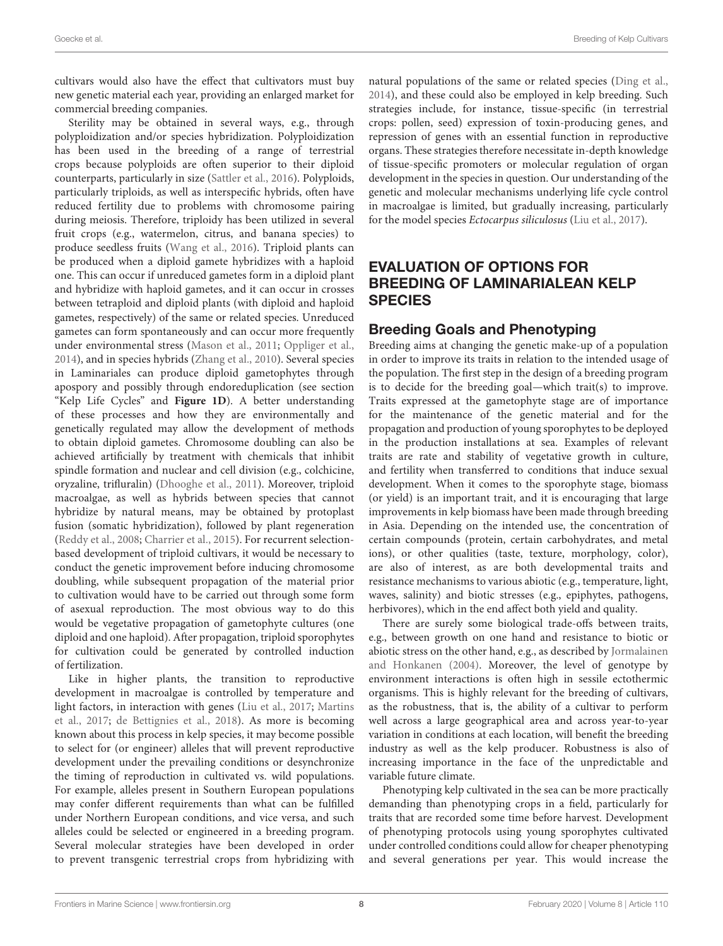cultivars would also have the effect that cultivators must buy new genetic material each year, providing an enlarged market for commercial breeding companies.

Sterility may be obtained in several ways, e.g., through polyploidization and/or species hybridization. Polyploidization has been used in the breeding of a range of terrestrial crops because polyploids are often superior to their diploid counterparts, particularly in size [\(Sattler et al.,](#page-15-30) [2016\)](#page-15-30). Polyploids, particularly triploids, as well as interspecific hybrids, often have reduced fertility due to problems with chromosome pairing during meiosis. Therefore, triploidy has been utilized in several fruit crops (e.g., watermelon, citrus, and banana species) to produce seedless fruits [\(Wang et al.,](#page-15-31) [2016\)](#page-15-31). Triploid plants can be produced when a diploid gamete hybridizes with a haploid one. This can occur if unreduced gametes form in a diploid plant and hybridize with haploid gametes, and it can occur in crosses between tetraploid and diploid plants (with diploid and haploid gametes, respectively) of the same or related species. Unreduced gametes can form spontaneously and can occur more frequently under environmental stress [\(Mason et al.,](#page-14-30) [2011;](#page-14-30) [Oppliger et al.,](#page-14-10) [2014\)](#page-14-10), and in species hybrids [\(Zhang et al.,](#page-16-6) [2010\)](#page-16-6). Several species in Laminariales can produce diploid gametophytes through apospory and possibly through endoreduplication (see section "Kelp Life Cycles" and **[Figure 1D](#page-3-0)**). A better understanding of these processes and how they are environmentally and genetically regulated may allow the development of methods to obtain diploid gametes. Chromosome doubling can also be achieved artificially by treatment with chemicals that inhibit spindle formation and nuclear and cell division (e.g., colchicine, oryzaline, trifluralin) [\(Dhooghe et al.,](#page-12-33) [2011\)](#page-12-33). Moreover, triploid macroalgae, as well as hybrids between species that cannot hybridize by natural means, may be obtained by protoplast fusion (somatic hybridization), followed by plant regeneration [\(Reddy et al.,](#page-15-32) [2008;](#page-15-32) [Charrier et al.,](#page-11-19) [2015\)](#page-11-19). For recurrent selectionbased development of triploid cultivars, it would be necessary to conduct the genetic improvement before inducing chromosome doubling, while subsequent propagation of the material prior to cultivation would have to be carried out through some form of asexual reproduction. The most obvious way to do this would be vegetative propagation of gametophyte cultures (one diploid and one haploid). After propagation, triploid sporophytes for cultivation could be generated by controlled induction of fertilization.

Like in higher plants, the transition to reproductive development in macroalgae is controlled by temperature and light factors, in interaction with genes [\(Liu et al.,](#page-14-5) [2017;](#page-14-5) [Martins](#page-14-31) [et al.,](#page-14-31) [2017;](#page-14-31) [de Bettignies et al.,](#page-12-34) [2018\)](#page-12-34). As more is becoming known about this process in kelp species, it may become possible to select for (or engineer) alleles that will prevent reproductive development under the prevailing conditions or desynchronize the timing of reproduction in cultivated vs. wild populations. For example, alleles present in Southern European populations may confer different requirements than what can be fulfilled under Northern European conditions, and vice versa, and such alleles could be selected or engineered in a breeding program. Several molecular strategies have been developed in order to prevent transgenic terrestrial crops from hybridizing with

natural populations of the same or related species [\(Ding et al.,](#page-12-35) [2014\)](#page-12-35), and these could also be employed in kelp breeding. Such strategies include, for instance, tissue-specific (in terrestrial crops: pollen, seed) expression of toxin-producing genes, and repression of genes with an essential function in reproductive organs. These strategies therefore necessitate in-depth knowledge of tissue-specific promoters or molecular regulation of organ development in the species in question. Our understanding of the genetic and molecular mechanisms underlying life cycle control in macroalgae is limited, but gradually increasing, particularly for the model species Ectocarpus siliculosus [\(Liu et al.,](#page-14-5) [2017\)](#page-14-5).

# EVALUATION OF OPTIONS FOR BREEDING OF LAMINARIALEAN KELP SPECIES

#### Breeding Goals and Phenotyping

Breeding aims at changing the genetic make-up of a population in order to improve its traits in relation to the intended usage of the population. The first step in the design of a breeding program is to decide for the breeding goal—which trait(s) to improve. Traits expressed at the gametophyte stage are of importance for the maintenance of the genetic material and for the propagation and production of young sporophytes to be deployed in the production installations at sea. Examples of relevant traits are rate and stability of vegetative growth in culture, and fertility when transferred to conditions that induce sexual development. When it comes to the sporophyte stage, biomass (or yield) is an important trait, and it is encouraging that large improvements in kelp biomass have been made through breeding in Asia. Depending on the intended use, the concentration of certain compounds (protein, certain carbohydrates, and metal ions), or other qualities (taste, texture, morphology, color), are also of interest, as are both developmental traits and resistance mechanisms to various abiotic (e.g., temperature, light, waves, salinity) and biotic stresses (e.g., epiphytes, pathogens, herbivores), which in the end affect both yield and quality.

There are surely some biological trade-offs between traits, e.g., between growth on one hand and resistance to biotic or abiotic stress on the other hand, e.g., as described by [Jormalainen](#page-13-27) [and Honkanen](#page-13-27) [\(2004\)](#page-13-27). Moreover, the level of genotype by environment interactions is often high in sessile ectothermic organisms. This is highly relevant for the breeding of cultivars, as the robustness, that is, the ability of a cultivar to perform well across a large geographical area and across year-to-year variation in conditions at each location, will benefit the breeding industry as well as the kelp producer. Robustness is also of increasing importance in the face of the unpredictable and variable future climate.

Phenotyping kelp cultivated in the sea can be more practically demanding than phenotyping crops in a field, particularly for traits that are recorded some time before harvest. Development of phenotyping protocols using young sporophytes cultivated under controlled conditions could allow for cheaper phenotyping and several generations per year. This would increase the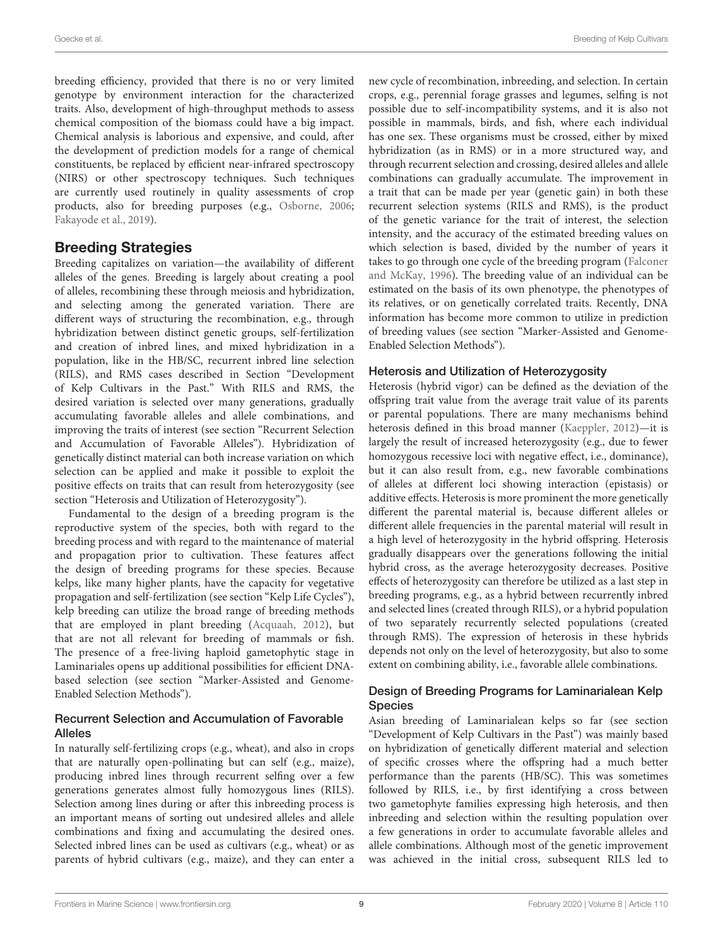breeding efficiency, provided that there is no or very limited genotype by environment interaction for the characterized traits. Also, development of high-throughput methods to assess chemical composition of the biomass could have a big impact. Chemical analysis is laborious and expensive, and could, after the development of prediction models for a range of chemical constituents, be replaced by efficient near-infrared spectroscopy (NIRS) or other spectroscopy techniques. Such techniques are currently used routinely in quality assessments of crop products, also for breeding purposes (e.g., [Osborne,](#page-14-32) [2006;](#page-14-32) [Fakayode et al.,](#page-12-36) [2019\)](#page-12-36).

#### Breeding Strategies

Breeding capitalizes on variation—the availability of different alleles of the genes. Breeding is largely about creating a pool of alleles, recombining these through meiosis and hybridization, and selecting among the generated variation. There are different ways of structuring the recombination, e.g., through hybridization between distinct genetic groups, self-fertilization and creation of inbred lines, and mixed hybridization in a population, like in the HB/SC, recurrent inbred line selection (RILS), and RMS cases described in Section "Development of Kelp Cultivars in the Past." With RILS and RMS, the desired variation is selected over many generations, gradually accumulating favorable alleles and allele combinations, and improving the traits of interest (see section "Recurrent Selection and Accumulation of Favorable Alleles"). Hybridization of genetically distinct material can both increase variation on which selection can be applied and make it possible to exploit the positive effects on traits that can result from heterozygosity (see section "Heterosis and Utilization of Heterozygosity").

Fundamental to the design of a breeding program is the reproductive system of the species, both with regard to the breeding process and with regard to the maintenance of material and propagation prior to cultivation. These features affect the design of breeding programs for these species. Because kelps, like many higher plants, have the capacity for vegetative propagation and self-fertilization (see section "Kelp Life Cycles"), kelp breeding can utilize the broad range of breeding methods that are employed in plant breeding [\(Acquaah,](#page-11-20) [2012\)](#page-11-20), but that are not all relevant for breeding of mammals or fish. The presence of a free-living haploid gametophytic stage in Laminariales opens up additional possibilities for efficient DNAbased selection (see section "Marker-Assisted and Genome-Enabled Selection Methods").

#### Recurrent Selection and Accumulation of Favorable Alleles

In naturally self-fertilizing crops (e.g., wheat), and also in crops that are naturally open-pollinating but can self (e.g., maize), producing inbred lines through recurrent selfing over a few generations generates almost fully homozygous lines (RILS). Selection among lines during or after this inbreeding process is an important means of sorting out undesired alleles and allele combinations and fixing and accumulating the desired ones. Selected inbred lines can be used as cultivars (e.g., wheat) or as parents of hybrid cultivars (e.g., maize), and they can enter a

new cycle of recombination, inbreeding, and selection. In certain crops, e.g., perennial forage grasses and legumes, selfing is not possible due to self-incompatibility systems, and it is also not possible in mammals, birds, and fish, where each individual has one sex. These organisms must be crossed, either by mixed hybridization (as in RMS) or in a more structured way, and through recurrent selection and crossing, desired alleles and allele combinations can gradually accumulate. The improvement in a trait that can be made per year (genetic gain) in both these recurrent selection systems (RILS and RMS), is the product of the genetic variance for the trait of interest, the selection intensity, and the accuracy of the estimated breeding values on which selection is based, divided by the number of years it takes to go through one cycle of the breeding program [\(Falconer](#page-12-37) [and McKay,](#page-12-37) [1996\)](#page-12-37). The breeding value of an individual can be estimated on the basis of its own phenotype, the phenotypes of its relatives, or on genetically correlated traits. Recently, DNA information has become more common to utilize in prediction of breeding values (see section "Marker-Assisted and Genome-Enabled Selection Methods").

#### Heterosis and Utilization of Heterozygosity

Heterosis (hybrid vigor) can be defined as the deviation of the offspring trait value from the average trait value of its parents or parental populations. There are many mechanisms behind heterosis defined in this broad manner [\(Kaeppler,](#page-13-28) [2012\)](#page-13-28)—it is largely the result of increased heterozygosity (e.g., due to fewer homozygous recessive loci with negative effect, i.e., dominance), but it can also result from, e.g., new favorable combinations of alleles at different loci showing interaction (epistasis) or additive effects. Heterosis is more prominent the more genetically different the parental material is, because different alleles or different allele frequencies in the parental material will result in a high level of heterozygosity in the hybrid offspring. Heterosis gradually disappears over the generations following the initial hybrid cross, as the average heterozygosity decreases. Positive effects of heterozygosity can therefore be utilized as a last step in breeding programs, e.g., as a hybrid between recurrently inbred and selected lines (created through RILS), or a hybrid population of two separately recurrently selected populations (created through RMS). The expression of heterosis in these hybrids depends not only on the level of heterozygosity, but also to some extent on combining ability, i.e., favorable allele combinations.

#### Design of Breeding Programs for Laminarialean Kelp **Species**

Asian breeding of Laminarialean kelps so far (see section "Development of Kelp Cultivars in the Past") was mainly based on hybridization of genetically different material and selection of specific crosses where the offspring had a much better performance than the parents (HB/SC). This was sometimes followed by RILS, i.e., by first identifying a cross between two gametophyte families expressing high heterosis, and then inbreeding and selection within the resulting population over a few generations in order to accumulate favorable alleles and allele combinations. Although most of the genetic improvement was achieved in the initial cross, subsequent RILS led to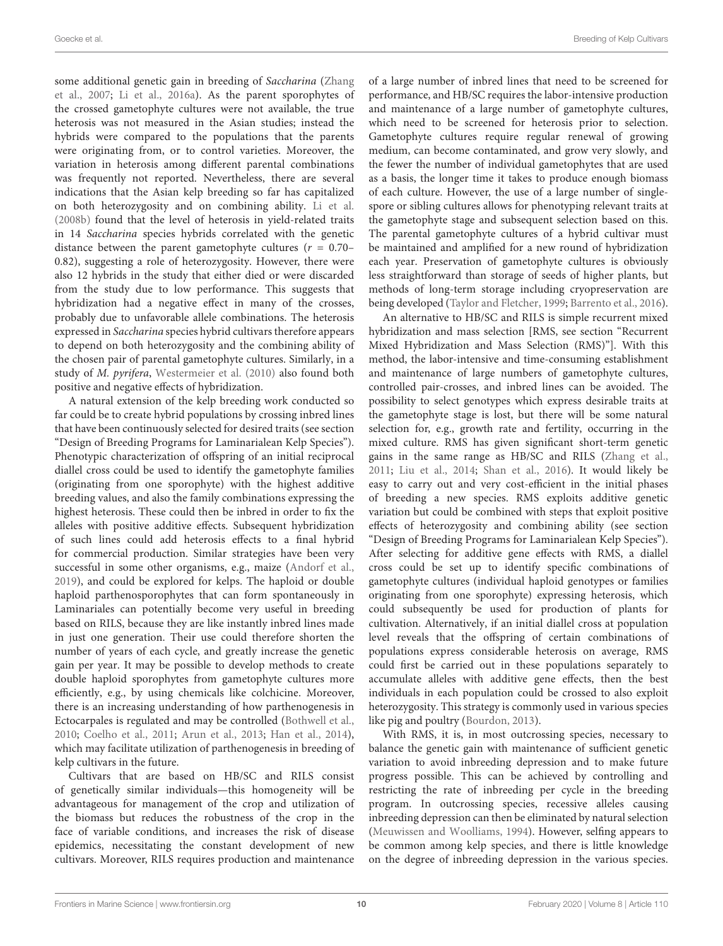some additional genetic gain in breeding of Saccharina [\(Zhang](#page-16-0) [et al.,](#page-16-0) [2007;](#page-16-0) [Li et al.,](#page-13-21) [2016a\)](#page-13-21). As the parent sporophytes of the crossed gametophyte cultures were not available, the true heterosis was not measured in the Asian studies; instead the hybrids were compared to the populations that the parents were originating from, or to control varieties. Moreover, the variation in heterosis among different parental combinations was frequently not reported. Nevertheless, there are several indications that the Asian kelp breeding so far has capitalized on both heterozygosity and on combining ability. [Li et al.](#page-13-29) [\(2008b\)](#page-13-29) found that the level of heterosis in yield-related traits in 14 Saccharina species hybrids correlated with the genetic distance between the parent gametophyte cultures ( $r = 0.70-$ 0.82), suggesting a role of heterozygosity. However, there were also 12 hybrids in the study that either died or were discarded from the study due to low performance. This suggests that hybridization had a negative effect in many of the crosses, probably due to unfavorable allele combinations. The heterosis expressed in Saccharina species hybrid cultivars therefore appears to depend on both heterozygosity and the combining ability of the chosen pair of parental gametophyte cultures. Similarly, in a study of M. pyrifera, [Westermeier et al.](#page-15-33) [\(2010\)](#page-15-33) also found both positive and negative effects of hybridization.

A natural extension of the kelp breeding work conducted so far could be to create hybrid populations by crossing inbred lines that have been continuously selected for desired traits (see section "Design of Breeding Programs for Laminarialean Kelp Species"). Phenotypic characterization of offspring of an initial reciprocal diallel cross could be used to identify the gametophyte families (originating from one sporophyte) with the highest additive breeding values, and also the family combinations expressing the highest heterosis. These could then be inbred in order to fix the alleles with positive additive effects. Subsequent hybridization of such lines could add heterosis effects to a final hybrid for commercial production. Similar strategies have been very successful in some other organisms, e.g., maize [\(Andorf et al.,](#page-11-21) [2019\)](#page-11-21), and could be explored for kelps. The haploid or double haploid parthenosporophytes that can form spontaneously in Laminariales can potentially become very useful in breeding based on RILS, because they are like instantly inbred lines made in just one generation. Their use could therefore shorten the number of years of each cycle, and greatly increase the genetic gain per year. It may be possible to develop methods to create double haploid sporophytes from gametophyte cultures more efficiently, e.g., by using chemicals like colchicine. Moreover, there is an increasing understanding of how parthenogenesis in Ectocarpales is regulated and may be controlled [\(Bothwell et al.,](#page-11-22) [2010;](#page-11-22) [Coelho et al.,](#page-11-23) [2011;](#page-11-23) [Arun et al.,](#page-11-24) [2013;](#page-11-24) [Han et al.,](#page-13-30) [2014\)](#page-13-30), which may facilitate utilization of parthenogenesis in breeding of kelp cultivars in the future.

Cultivars that are based on HB/SC and RILS consist of genetically similar individuals—this homogeneity will be advantageous for management of the crop and utilization of the biomass but reduces the robustness of the crop in the face of variable conditions, and increases the risk of disease epidemics, necessitating the constant development of new cultivars. Moreover, RILS requires production and maintenance of a large number of inbred lines that need to be screened for performance, and HB/SC requires the labor-intensive production and maintenance of a large number of gametophyte cultures, which need to be screened for heterosis prior to selection. Gametophyte cultures require regular renewal of growing medium, can become contaminated, and grow very slowly, and the fewer the number of individual gametophytes that are used as a basis, the longer time it takes to produce enough biomass of each culture. However, the use of a large number of singlespore or sibling cultures allows for phenotyping relevant traits at the gametophyte stage and subsequent selection based on this. The parental gametophyte cultures of a hybrid cultivar must be maintained and amplified for a new round of hybridization each year. Preservation of gametophyte cultures is obviously less straightforward than storage of seeds of higher plants, but methods of long-term storage including cryopreservation are being developed [\(Taylor and Fletcher,](#page-15-34) [1999;](#page-15-34) [Barrento et al.,](#page-11-25) [2016\)](#page-11-25).

An alternative to HB/SC and RILS is simple recurrent mixed hybridization and mass selection [RMS, see section "Recurrent Mixed Hybridization and Mass Selection (RMS)"]. With this method, the labor-intensive and time-consuming establishment and maintenance of large numbers of gametophyte cultures, controlled pair-crosses, and inbred lines can be avoided. The possibility to select genotypes which express desirable traits at the gametophyte stage is lost, but there will be some natural selection for, e.g., growth rate and fertility, occurring in the mixed culture. RMS has given significant short-term genetic gains in the same range as HB/SC and RILS [\(Zhang et al.,](#page-16-1) [2011;](#page-16-1) [Liu et al.,](#page-14-15) [2014;](#page-14-15) [Shan et al.,](#page-15-20) [2016\)](#page-15-20). It would likely be easy to carry out and very cost-efficient in the initial phases of breeding a new species. RMS exploits additive genetic variation but could be combined with steps that exploit positive effects of heterozygosity and combining ability (see section "Design of Breeding Programs for Laminarialean Kelp Species"). After selecting for additive gene effects with RMS, a diallel cross could be set up to identify specific combinations of gametophyte cultures (individual haploid genotypes or families originating from one sporophyte) expressing heterosis, which could subsequently be used for production of plants for cultivation. Alternatively, if an initial diallel cross at population level reveals that the offspring of certain combinations of populations express considerable heterosis on average, RMS could first be carried out in these populations separately to accumulate alleles with additive gene effects, then the best individuals in each population could be crossed to also exploit heterozygosity. This strategy is commonly used in various species like pig and poultry [\(Bourdon,](#page-11-26) [2013\)](#page-11-26).

With RMS, it is, in most outcrossing species, necessary to balance the genetic gain with maintenance of sufficient genetic variation to avoid inbreeding depression and to make future progress possible. This can be achieved by controlling and restricting the rate of inbreeding per cycle in the breeding program. In outcrossing species, recessive alleles causing inbreeding depression can then be eliminated by natural selection [\(Meuwissen and Woolliams,](#page-14-33) [1994\)](#page-14-33). However, selfing appears to be common among kelp species, and there is little knowledge on the degree of inbreeding depression in the various species.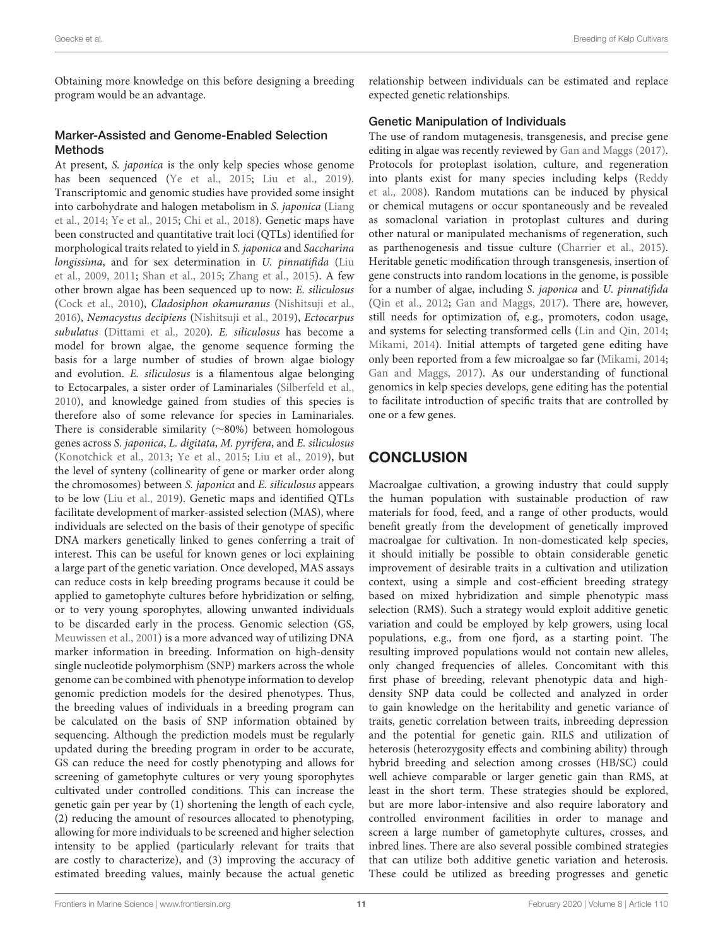Obtaining more knowledge on this before designing a breeding program would be an advantage.

#### Marker-Assisted and Genome-Enabled Selection Methods

At present, S. japonica is the only kelp species whose genome has been sequenced [\(Ye et al.,](#page-16-7) [2015;](#page-16-7) [Liu et al.,](#page-14-34) [2019\)](#page-14-34). Transcriptomic and genomic studies have provided some insight into carbohydrate and halogen metabolism in S. japonica [\(Liang](#page-13-31) [et al.,](#page-13-31) [2014;](#page-13-31) [Ye et al.,](#page-16-7) [2015;](#page-16-7) [Chi et al.,](#page-11-27) [2018\)](#page-11-27). Genetic maps have been constructed and quantitative trait loci (QTLs) identified for morphological traits related to yield in S. japonica and Saccharina longissima, and for sex determination in U. pinnatifida [\(Liu](#page-13-32) [et al.,](#page-13-32) [2009,](#page-13-32) [2011;](#page-13-33) [Shan et al.,](#page-15-35) [2015;](#page-15-35) [Zhang et al.,](#page-16-8) [2015\)](#page-16-8). A few other brown algae has been sequenced up to now: E. siliculosus [\(Cock et al.,](#page-11-28) [2010\)](#page-11-28), Cladosiphon okamuranus [\(Nishitsuji et al.,](#page-14-35) [2016\)](#page-14-35), Nemacystus decipiens [\(Nishitsuji et al.,](#page-14-36) [2019\)](#page-14-36), Ectocarpus subulatus [\(Dittami et al.,](#page-12-38) [2020\)](#page-12-38). E. siliculosus has become a model for brown algae, the genome sequence forming the basis for a large number of studies of brown algae biology and evolution. E. siliculosus is a filamentous algae belonging to Ectocarpales, a sister order of Laminariales [\(Silberfeld et al.,](#page-15-36) [2010\)](#page-15-36), and knowledge gained from studies of this species is therefore also of some relevance for species in Laminariales. There is considerable similarity (∼80%) between homologous genes across S. japonica, L. digitata, M. pyrifera, and E. siliculosus [\(Konotchick et al.,](#page-13-34) [2013;](#page-13-34) [Ye et al.,](#page-16-7) [2015;](#page-16-7) [Liu et al.,](#page-14-34) [2019\)](#page-14-34), but the level of synteny (collinearity of gene or marker order along the chromosomes) between S. japonica and E. siliculosus appears to be low [\(Liu et al.,](#page-14-34) [2019\)](#page-14-34). Genetic maps and identified QTLs facilitate development of marker-assisted selection (MAS), where individuals are selected on the basis of their genotype of specific DNA markers genetically linked to genes conferring a trait of interest. This can be useful for known genes or loci explaining a large part of the genetic variation. Once developed, MAS assays can reduce costs in kelp breeding programs because it could be applied to gametophyte cultures before hybridization or selfing, or to very young sporophytes, allowing unwanted individuals to be discarded early in the process. Genomic selection (GS, [Meuwissen et al.,](#page-14-37) [2001\)](#page-14-37) is a more advanced way of utilizing DNA marker information in breeding. Information on high-density single nucleotide polymorphism (SNP) markers across the whole genome can be combined with phenotype information to develop genomic prediction models for the desired phenotypes. Thus, the breeding values of individuals in a breeding program can be calculated on the basis of SNP information obtained by sequencing. Although the prediction models must be regularly updated during the breeding program in order to be accurate, GS can reduce the need for costly phenotyping and allows for screening of gametophyte cultures or very young sporophytes cultivated under controlled conditions. This can increase the genetic gain per year by (1) shortening the length of each cycle, (2) reducing the amount of resources allocated to phenotyping, allowing for more individuals to be screened and higher selection intensity to be applied (particularly relevant for traits that are costly to characterize), and (3) improving the accuracy of estimated breeding values, mainly because the actual genetic

relationship between individuals can be estimated and replace expected genetic relationships.

#### Genetic Manipulation of Individuals

The use of random mutagenesis, transgenesis, and precise gene editing in algae was recently reviewed by [Gan and Maggs](#page-12-39) [\(2017\)](#page-12-39). Protocols for protoplast isolation, culture, and regeneration into plants exist for many species including kelps [\(Reddy](#page-15-32) [et al.,](#page-15-32) [2008\)](#page-15-32). Random mutations can be induced by physical or chemical mutagens or occur spontaneously and be revealed as somaclonal variation in protoplast cultures and during other natural or manipulated mechanisms of regeneration, such as parthenogenesis and tissue culture [\(Charrier et al.,](#page-11-19) [2015\)](#page-11-19). Heritable genetic modification through transgenesis, insertion of gene constructs into random locations in the genome, is possible for a number of algae, including S. japonica and U. pinnatifida [\(Qin et al.,](#page-15-37) [2012;](#page-15-37) [Gan and Maggs,](#page-12-39) [2017\)](#page-12-39). There are, however, still needs for optimization of, e.g., promoters, codon usage, and systems for selecting transformed cells [\(Lin and Qin,](#page-13-35) [2014;](#page-13-35) [Mikami,](#page-14-38) [2014\)](#page-14-38). Initial attempts of targeted gene editing have only been reported from a few microalgae so far [\(Mikami,](#page-14-38) [2014;](#page-14-38) [Gan and Maggs,](#page-12-39) [2017\)](#page-12-39). As our understanding of functional genomics in kelp species develops, gene editing has the potential to facilitate introduction of specific traits that are controlled by one or a few genes.

# **CONCLUSION**

Macroalgae cultivation, a growing industry that could supply the human population with sustainable production of raw materials for food, feed, and a range of other products, would benefit greatly from the development of genetically improved macroalgae for cultivation. In non-domesticated kelp species, it should initially be possible to obtain considerable genetic improvement of desirable traits in a cultivation and utilization context, using a simple and cost-efficient breeding strategy based on mixed hybridization and simple phenotypic mass selection (RMS). Such a strategy would exploit additive genetic variation and could be employed by kelp growers, using local populations, e.g., from one fjord, as a starting point. The resulting improved populations would not contain new alleles, only changed frequencies of alleles. Concomitant with this first phase of breeding, relevant phenotypic data and highdensity SNP data could be collected and analyzed in order to gain knowledge on the heritability and genetic variance of traits, genetic correlation between traits, inbreeding depression and the potential for genetic gain. RILS and utilization of heterosis (heterozygosity effects and combining ability) through hybrid breeding and selection among crosses (HB/SC) could well achieve comparable or larger genetic gain than RMS, at least in the short term. These strategies should be explored, but are more labor-intensive and also require laboratory and controlled environment facilities in order to manage and screen a large number of gametophyte cultures, crosses, and inbred lines. There are also several possible combined strategies that can utilize both additive genetic variation and heterosis. These could be utilized as breeding progresses and genetic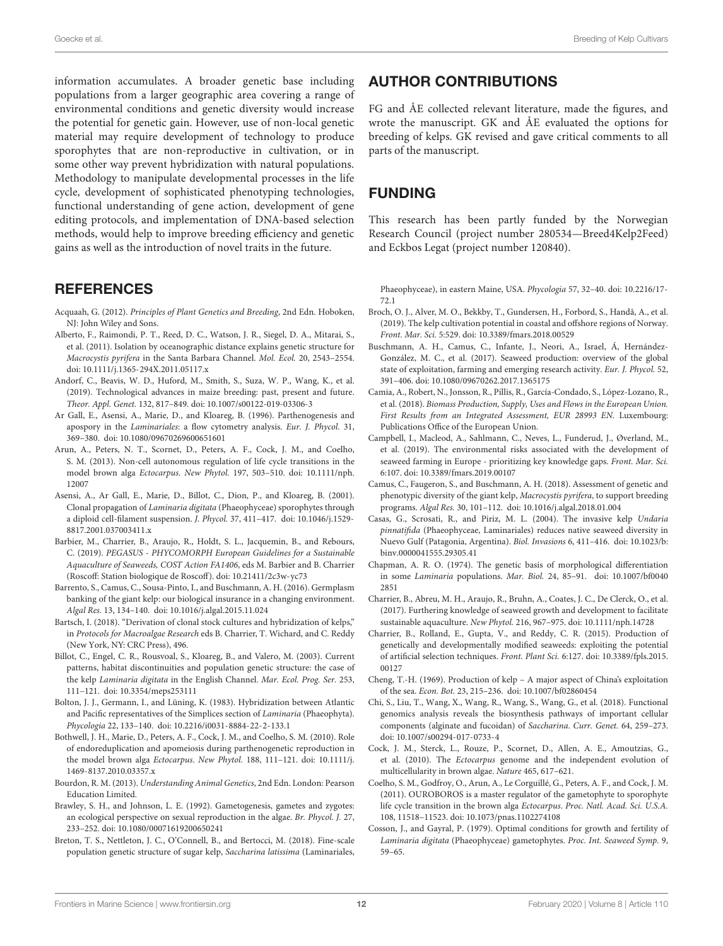information accumulates. A broader genetic base including populations from a larger geographic area covering a range of environmental conditions and genetic diversity would increase the potential for genetic gain. However, use of non-local genetic material may require development of technology to produce sporophytes that are non-reproductive in cultivation, or in some other way prevent hybridization with natural populations. Methodology to manipulate developmental processes in the life cycle, development of sophisticated phenotyping technologies, functional understanding of gene action, development of gene editing protocols, and implementation of DNA-based selection methods, would help to improve breeding efficiency and genetic gains as well as the introduction of novel traits in the future.

#### **REFERENCES**

- <span id="page-11-20"></span>Acquaah, G. (2012). Principles of Plant Genetics and Breeding, 2nd Edn. Hoboken, NJ: John Wiley and Sons.
- <span id="page-11-18"></span>Alberto, F., Raimondi, P. T., Reed, D. C., Watson, J. R., Siegel, D. A., Mitarai, S., et al. (2011). Isolation by oceanographic distance explains genetic structure for Macrocystis pyrifera in the Santa Barbara Channel. Mol. Ecol. 20, 2543–2554. [doi: 10.1111/j.1365-294X.2011.05117.x](https://doi.org/10.1111/j.1365-294X.2011.05117.x)
- <span id="page-11-21"></span>Andorf, C., Beavis, W. D., Huford, M., Smith, S., Suza, W. P., Wang, K., et al. (2019). Technological advances in maize breeding: past, present and future. Theor. Appl. Genet. 132, 817–849. [doi: 10.1007/s00122-019-03306-3](https://doi.org/10.1007/s00122-019-03306-3)
- <span id="page-11-6"></span>Ar Gall, E., Asensi, A., Marie, D., and Kloareg, B. (1996). Parthenogenesis and apospory in the Laminariales: a flow cytometry analysis. Eur. J. Phycol. 31, 369–380. [doi: 10.1080/09670269600651601](https://doi.org/10.1080/09670269600651601)
- <span id="page-11-24"></span>Arun, A., Peters, N. T., Scornet, D., Peters, A. F., Cock, J. M., and Coelho, S. M. (2013). Non-cell autonomous regulation of life cycle transitions in the model brown alga Ectocarpus. New Phytol. 197, 503–510. [doi: 10.1111/nph.](https://doi.org/10.1111/nph.12007) [12007](https://doi.org/10.1111/nph.12007)
- <span id="page-11-13"></span>Asensi, A., Ar Gall, E., Marie, D., Billot, C., Dion, P., and Kloareg, B. (2001). Clonal propagation of Laminaria digitata (Phaeophyceae) sporophytes through a diploid cell-filament suspension. J. Phycol. 37, 411–417. [doi: 10.1046/j.1529-](https://doi.org/10.1046/j.1529-8817.2001.037003411.x) [8817.2001.037003411.x](https://doi.org/10.1046/j.1529-8817.2001.037003411.x)
- <span id="page-11-15"></span>Barbier, M., Charrier, B., Araujo, R., Holdt, S. L., Jacquemin, B., and Rebours, C. (2019). PEGASUS - PHYCOMORPH European Guidelines for a Sustainable Aquaculture of Seaweeds, COST Action FA1406, eds M. Barbier and B. Charrier (Roscoff: Station biologique de Roscoff). [doi: 10.21411/2c3w-yc73](https://doi.org/10.21411/2c3w-yc73)
- <span id="page-11-25"></span>Barrento, S., Camus, C., Sousa-Pinto, I., and Buschmann, A. H. (2016). Germplasm banking of the giant kelp: our biological insurance in a changing environment. Algal Res. 13, 134–140. [doi: 10.1016/j.algal.2015.11.024](https://doi.org/10.1016/j.algal.2015.11.024)
- <span id="page-11-12"></span>Bartsch, I. (2018). "Derivation of clonal stock cultures and hybridization of kelps," in Protocols for Macroalgae Research eds B. Charrier, T. Wichard, and C. Reddy (New York, NY: CRC Press), 496.
- <span id="page-11-16"></span>Billot, C., Engel, C. R., Rousvoal, S., Kloareg, B., and Valero, M. (2003). Current patterns, habitat discontinuities and population genetic structure: the case of the kelp Laminaria digitata in the English Channel. Mar. Ecol. Prog. Ser. 253, 111–121. [doi: 10.3354/meps253111](https://doi.org/10.3354/meps253111)
- <span id="page-11-9"></span>Bolton, J. J., Germann, I., and Lüning, K. (1983). Hybridization between Atlantic and Pacific representatives of the Simplices section of Laminaria (Phaeophyta). Phycologia 22, 133–140. [doi: 10.2216/i0031-8884-22-2-133.1](https://doi.org/10.2216/i0031-8884-22-2-133.1)
- <span id="page-11-22"></span>Bothwell, J. H., Marie, D., Peters, A. F., Cock, J. M., and Coelho, S. M. (2010). Role of endoreduplication and apomeiosis during parthenogenetic reproduction in the model brown alga Ectocarpus. New Phytol. 188, 111–121. [doi: 10.1111/j.](https://doi.org/10.1111/j.1469-8137.2010.03357.x) [1469-8137.2010.03357.x](https://doi.org/10.1111/j.1469-8137.2010.03357.x)
- <span id="page-11-26"></span>Bourdon, R. M. (2013). Understanding Animal Genetics, 2nd Edn. London: Pearson Education Limited.
- <span id="page-11-5"></span>Brawley, S. H., and Johnson, L. E. (1992). Gametogenesis, gametes and zygotes: an ecological perspective on sexual reproduction in the algae. Br. Phycol. J. 27, 233–252. [doi: 10.1080/00071619200650241](https://doi.org/10.1080/00071619200650241)
- <span id="page-11-17"></span>Breton, T. S., Nettleton, J. C., O'Connell, B., and Bertocci, M. (2018). Fine-scale population genetic structure of sugar kelp, Saccharina latissima (Laminariales,

#### AUTHOR CONTRIBUTIONS

FG and ÅE collected relevant literature, made the figures, and wrote the manuscript. GK and ÅE evaluated the options for breeding of kelps. GK revised and gave critical comments to all parts of the manuscript.

# FUNDING

This research has been partly funded by the Norwegian Research Council (project number 280534—Breed4Kelp2Feed) and Eckbos Legat (project number 120840).

Phaeophyceae), in eastern Maine, USA. Phycologia 57, 32–40. [doi: 10.2216/17-](https://doi.org/10.2216/17-72.1) [72.1](https://doi.org/10.2216/17-72.1)

- <span id="page-11-3"></span>Broch, O. J., Alver, M. O., Bekkby, T., Gundersen, H., Forbord, S., Handå, A., et al. (2019). The kelp cultivation potential in coastal and offshore regions of Norway. Front. Mar. Sci. 5:529. [doi: 10.3389/fmars.2018.00529](https://doi.org/10.3389/fmars.2018.00529)
- <span id="page-11-1"></span>Buschmann, A. H., Camus, C., Infante, J., Neori, A., Israel, Á, Hernández-González, M. C., et al. (2017). Seaweed production: overview of the global state of exploitation, farming and emerging research activity. Eur. J. Phycol. 52, 391–406. [doi: 10.1080/09670262.2017.1365175](https://doi.org/10.1080/09670262.2017.1365175)
- <span id="page-11-2"></span>Camia, A., Robert, N., Jonsson, R., Pillis, R., García-Condado, S., López-Lozano, R., et al. (2018). Biomass Production, Supply, Uses and Flows in the European Union. First Results from an Integrated Assessment, EUR 28993 EN. Luxembourg: Publications Office of the European Union.
- <span id="page-11-4"></span>Campbell, I., Macleod, A., Sahlmann, C., Neves, L., Funderud, J., Øverland, M., et al. (2019). The environmental risks associated with the development of seaweed farming in Europe - prioritizing key knowledge gaps. Front. Mar. Sci. 6:107. [doi: 10.3389/fmars.2019.00107](https://doi.org/10.3389/fmars.2019.00107)
- <span id="page-11-7"></span>Camus, C., Faugeron, S., and Buschmann, A. H. (2018). Assessment of genetic and phenotypic diversity of the giant kelp, Macrocystis pyrifera, to support breeding programs. Algal Res. 30, 101–112. [doi: 10.1016/j.algal.2018.01.004](https://doi.org/10.1016/j.algal.2018.01.004)
- <span id="page-11-14"></span>Casas, G., Scrosati, R., and Piriz, M. L. (2004). The invasive kelp Undaria pinnatifida (Phaeophyceae, Laminariales) reduces native seaweed diversity in Nuevo Gulf (Patagonia, Argentina). Biol. Invasions 6, 411–416. [doi: 10.1023/b:](https://doi.org/10.1023/b:binv.0000041555.29305.41) [binv.0000041555.29305.41](https://doi.org/10.1023/b:binv.0000041555.29305.41)
- <span id="page-11-8"></span>Chapman, A. R. O. (1974). The genetic basis of morphological differentiation in some Laminaria populations. Mar. Biol. 24, 85–91. [doi: 10.1007/bf0040](https://doi.org/10.1007/bf00402851) [2851](https://doi.org/10.1007/bf00402851)
- <span id="page-11-0"></span>Charrier, B., Abreu, M. H., Araujo, R., Bruhn, A., Coates, J. C., De Clerck, O., et al. (2017). Furthering knowledge of seaweed growth and development to facilitate sustainable aquaculture. New Phytol. 216, 967–975. [doi: 10.1111/nph.14728](https://doi.org/10.1111/nph.14728)
- <span id="page-11-19"></span>Charrier, B., Rolland, E., Gupta, V., and Reddy, C. R. (2015). Production of genetically and developmentally modified seaweeds: exploiting the potential of artificial selection techniques. Front. Plant Sci. 6:127. [doi: 10.3389/fpls.2015.](https://doi.org/10.3389/fpls.2015.00127) [00127](https://doi.org/10.3389/fpls.2015.00127)
- <span id="page-11-10"></span>Cheng, T.-H. (1969). Production of kelp – A major aspect of China's exploitation of the sea. Econ. Bot. 23, 215–236. [doi: 10.1007/bf02860454](https://doi.org/10.1007/bf02860454)
- <span id="page-11-27"></span>Chi, S., Liu, T., Wang, X., Wang, R., Wang, S., Wang, G., et al. (2018). Functional genomics analysis reveals the biosynthesis pathways of important cellular components (alginate and fucoidan) of Saccharina. Curr. Genet. 64, 259–273. [doi: 10.1007/s00294-017-0733-4](https://doi.org/10.1007/s00294-017-0733-4)
- <span id="page-11-28"></span>Cock, J. M., Sterck, L., Rouze, P., Scornet, D., Allen, A. E., Amoutzias, G., et al. (2010). The Ectocarpus genome and the independent evolution of multicellularity in brown algae. Nature 465, 617–621.
- <span id="page-11-23"></span>Coelho, S. M., Godfroy, O., Arun, A., Le Corguillé, G., Peters, A. F., and Cock, J. M. (2011). OUROBOROS is a master regulator of the gametophyte to sporophyte life cycle transition in the brown alga Ectocarpus. Proc. Natl. Acad. Sci. U.S.A. 108, 11518–11523. [doi: 10.1073/pnas.1102274108](https://doi.org/10.1073/pnas.1102274108)
- <span id="page-11-11"></span>Cosson, J., and Gayral, P. (1979). Optimal conditions for growth and fertility of Laminaria digitata (Phaeophyceae) gametophytes. Proc. Int. Seaweed Symp. 9, 59–65.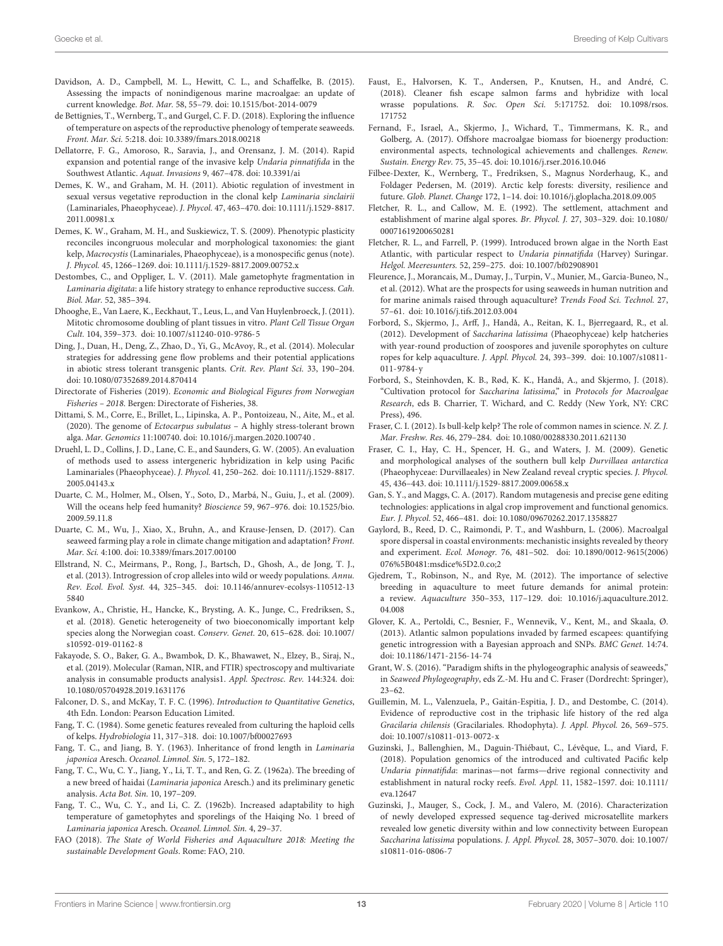- <span id="page-12-22"></span>Davidson, A. D., Campbell, M. L., Hewitt, C. L., and Schaffelke, B. (2015). Assessing the impacts of nonindigenous marine macroalgae: an update of current knowledge. Bot. Mar. 58, 55–79. [doi: 10.1515/bot-2014-0079](https://doi.org/10.1515/bot-2014-0079)
- <span id="page-12-34"></span>de Bettignies, T., Wernberg, T., and Gurgel, C. F. D. (2018). Exploring the influence of temperature on aspects of the reproductive phenology of temperate seaweeds. Front. Mar. Sci. 5:218. [doi: 10.3389/fmars.2018.00218](https://doi.org/10.3389/fmars.2018.00218)
- <span id="page-12-24"></span>Dellatorre, F. G., Amoroso, R., Saravia, J., and Orensanz, J. M. (2014). Rapid expansion and potential range of the invasive kelp Undaria pinnatifida in the Southwest Atlantic. Aquat. Invasions 9, 467–478. [doi: 10.3391/ai](https://doi.org/10.3391/ai)
- <span id="page-12-11"></span>Demes, K. W., and Graham, M. H. (2011). Abiotic regulation of investment in sexual versus vegetative reproduction in the clonal kelp Laminaria sinclairii (Laminariales, Phaeophyceae). J. Phycol. 47, 463–470. [doi: 10.1111/j.1529-8817.](https://doi.org/10.1111/j.1529-8817.2011.00981.x) [2011.00981.x](https://doi.org/10.1111/j.1529-8817.2011.00981.x)
- <span id="page-12-15"></span>Demes, K. W., Graham, M. H., and Suskiewicz, T. S. (2009). Phenotypic plasticity reconciles incongruous molecular and morphological taxonomies: the giant kelp, Macrocystis (Laminariales, Phaeophyceae), is a monospecific genus (note). J. Phycol. 45, 1266–1269. [doi: 10.1111/j.1529-8817.2009.00752.x](https://doi.org/10.1111/j.1529-8817.2009.00752.x)
- <span id="page-12-12"></span>Destombes, C., and Oppliger, L. V. (2011). Male gametophyte fragmentation in Laminaria digitata: a life history strategy to enhance reproductive success. Cah. Biol. Mar. 52, 385–394.
- <span id="page-12-33"></span>Dhooghe, E., Van Laere, K., Eeckhaut, T., Leus, L., and Van Huylenbroeck, J. (2011). Mitotic chromosome doubling of plant tissues in vitro. Plant Cell Tissue Organ Cult. 104, 359–373. [doi: 10.1007/s11240-010-9786-5](https://doi.org/10.1007/s11240-010-9786-5)
- <span id="page-12-35"></span>Ding, J., Duan, H., Deng, Z., Zhao, D., Yi, G., McAvoy, R., et al. (2014). Molecular strategies for addressing gene flow problems and their potential applications in abiotic stress tolerant transgenic plants. Crit. Rev. Plant Sci. 33, 190–204. [doi: 10.1080/07352689.2014.870414](https://doi.org/10.1080/07352689.2014.870414)
- <span id="page-12-5"></span>Directorate of Fisheries (2019). Economic and Biological Figures from Norwegian Fisheries – 2018. Bergen: Directorate of Fisheries, 38.
- <span id="page-12-38"></span>Dittami, S. M., Corre, E., Brillet, L., Lipinska, A. P., Pontoizeau, N., Aite, M., et al. (2020). The genome of Ectocarpus subulatus – A highly stress-tolerant brown alga. Mar. Genomics 11:100740. doi: 10.1016/j.margen.2020.100740 .
- <span id="page-12-14"></span>Druehl, L. D., Collins, J. D., Lane, C. E., and Saunders, G. W. (2005). An evaluation of methods used to assess intergeneric hybridization in kelp using Pacific Laminariales (Phaeophyceae). J. Phycol. 41, 250–262. [doi: 10.1111/j.1529-8817.](https://doi.org/10.1111/j.1529-8817.2005.04143.x) [2005.04143.x](https://doi.org/10.1111/j.1529-8817.2005.04143.x)
- <span id="page-12-0"></span>Duarte, C. M., Holmer, M., Olsen, Y., Soto, D., Marbá, N., Guiu, J., et al. (2009). Will the oceans help feed humanity? Bioscience 59, 967–976. [doi: 10.1525/bio.](https://doi.org/10.1525/bio.2009.59.11.8) [2009.59.11.8](https://doi.org/10.1525/bio.2009.59.11.8)
- <span id="page-12-1"></span>Duarte, C. M., Wu, J., Xiao, X., Bruhn, A., and Krause-Jensen, D. (2017). Can seaweed farming play a role in climate change mitigation and adaptation? Front. Mar. Sci. 4:100. [doi: 10.3389/fmars.2017.00100](https://doi.org/10.3389/fmars.2017.00100)
- <span id="page-12-25"></span>Ellstrand, N. C., Meirmans, P., Rong, J., Bartsch, D., Ghosh, A., de Jong, T. J., et al. (2013). Introgression of crop alleles into wild or weedy populations. Annu. Rev. Ecol. Evol. Syst. 44, 325–345. [doi: 10.1146/annurev-ecolsys-110512-13](https://doi.org/10.1146/annurev-ecolsys-110512-135840) [5840](https://doi.org/10.1146/annurev-ecolsys-110512-135840)
- <span id="page-12-30"></span>Evankow, A., Christie, H., Hancke, K., Brysting, A. K., Junge, C., Fredriksen, S., et al. (2018). Genetic heterogeneity of two bioeconomically important kelp species along the Norwegian coast. Conserv. Genet. 20, 615–628. [doi: 10.1007/](https://doi.org/10.1007/s10592-019-01162-8) [s10592-019-01162-8](https://doi.org/10.1007/s10592-019-01162-8)
- <span id="page-12-36"></span>Fakayode, S. O., Baker, G. A., Bwambok, D. K., Bhawawet, N., Elzey, B., Siraj, N., et al. (2019). Molecular (Raman, NIR, and FTIR) spectroscopy and multivariate analysis in consumable products analysis1. Appl. Spectrosc. Rev. 144:324. [doi:](https://doi.org/10.1080/05704928.2019.1631176) [10.1080/05704928.2019.1631176](https://doi.org/10.1080/05704928.2019.1631176)
- <span id="page-12-37"></span>Falconer, D. S., and McKay, T. F. C. (1996). Introduction to Quantitative Genetics, 4th Edn. London: Pearson Education Limited.
- <span id="page-12-13"></span>Fang, T. C. (1984). Some genetic features revealed from culturing the haploid cells of kelps. Hydrobiologia 11, 317–318. [doi: 10.1007/bf00027693](https://doi.org/10.1007/bf00027693)
- <span id="page-12-19"></span>Fang, T. C., and Jiang, B. Y. (1963). Inheritance of frond length in Laminaria japonica Aresch. Oceanol. Limnol. Sin. 5, 172–182.
- <span id="page-12-17"></span>Fang, T. C., Wu, C. Y., Jiang, Y., Li, T. T., and Ren, G. Z. (1962a). The breeding of a new breed of haidai (Laminaria japonica Aresch.) and its preliminary genetic analysis. Acta Bot. Sin. 10, 197–209.
- <span id="page-12-18"></span>Fang, T. C., Wu, C. Y., and Li, C. Z. (1962b). Increased adaptability to high temperature of gametophytes and sporelings of the Haiqing No. 1 breed of Laminaria japonica Aresch. Oceanol. Limnol. Sin. 4, 29–37.
- <span id="page-12-4"></span>FAO (2018). The State of World Fisheries and Aquaculture 2018: Meeting the sustainable Development Goals. Rome: FAO, 210.
- <span id="page-12-10"></span>Faust, E., Halvorsen, K. T., Andersen, P., Knutsen, H., and André, C. (2018). Cleaner fish escape salmon farms and hybridize with local wrasse populations. R. Soc. Open Sci. 5:171752. [doi: 10.1098/rsos.](https://doi.org/10.1098/rsos.171752) [171752](https://doi.org/10.1098/rsos.171752)
- <span id="page-12-3"></span>Fernand, F., Israel, A., Skjermo, J., Wichard, T., Timmermans, K. R., and Golberg, A. (2017). Offshore macroalgae biomass for bioenergy production: environmental aspects, technological achievements and challenges. Renew. Sustain. Energy Rev. 75, 35–45. [doi: 10.1016/j.rser.2016.10.046](https://doi.org/10.1016/j.rser.2016.10.046)
- <span id="page-12-7"></span>Filbee-Dexter, K., Wernberg, T., Fredriksen, S., Magnus Norderhaug, K., and Foldager Pedersen, M. (2019). Arctic kelp forests: diversity, resilience and future. Glob. Planet. Change 172, 1–14. [doi: 10.1016/j.gloplacha.2018.09.005](https://doi.org/10.1016/j.gloplacha.2018.09.005)
- <span id="page-12-27"></span>Fletcher, R. L., and Callow, M. E. (1992). The settlement, attachment and establishment of marine algal spores. Br. Phycol. J. 27, 303–329. [doi: 10.1080/](https://doi.org/10.1080/00071619200650281) [00071619200650281](https://doi.org/10.1080/00071619200650281)
- <span id="page-12-23"></span>Fletcher, R. L., and Farrell, P. (1999). Introduced brown algae in the North East Atlantic, with particular respect to Undaria pinnatifida (Harvey) Suringar. Helgol. Meeresunters. 52, 259–275. [doi: 10.1007/bf02908901](https://doi.org/10.1007/bf02908901)
- <span id="page-12-2"></span>Fleurence, J., Morancais, M., Dumay, J., Turpin, V., Munier, M., Garcia-Buneo, N., et al. (2012). What are the prospects for using seaweeds in human nutrition and for marine animals raised through aquaculture? Trends Food Sci. Technol. 27, 57–61. [doi: 10.1016/j.tifs.2012.03.004](https://doi.org/10.1016/j.tifs.2012.03.004)
- <span id="page-12-20"></span>Forbord, S., Skjermo, J., Arff, J., Handå, A., Reitan, K. I., Bjerregaard, R., et al. (2012). Development of Saccharina latissima (Phaeophyceae) kelp hatcheries with year-round production of zoospores and juvenile sporophytes on culture ropes for kelp aquaculture. J. Appl. Phycol. 24, 393–399. [doi: 10.1007/s10811-](https://doi.org/10.1007/s10811-011-9784-y) [011-9784-y](https://doi.org/10.1007/s10811-011-9784-y)
- <span id="page-12-21"></span>Forbord, S., Steinhovden, K. B., Rød, K. K., Handå, A., and Skjermo, J. (2018). "Cultivation protocol for Saccharina latissima," in Protocols for Macroalgae Research, eds B. Charrier, T. Wichard, and C. Reddy (New York, NY: CRC Press), 496.
- <span id="page-12-6"></span>Fraser, C. I. (2012). Is bull-kelp kelp? The role of common names in science. N. Z. J. Mar. Freshw. Res. 46, 279–284. [doi: 10.1080/00288330.2011.621130](https://doi.org/10.1080/00288330.2011.621130)
- <span id="page-12-16"></span>Fraser, C. I., Hay, C. H., Spencer, H. G., and Waters, J. M. (2009). Genetic and morphological analyses of the southern bull kelp Durvillaea antarctica (Phaeophyceae: Durvillaeales) in New Zealand reveal cryptic species. J. Phycol. 45, 436–443. [doi: 10.1111/j.1529-8817.2009.00658.x](https://doi.org/10.1111/j.1529-8817.2009.00658.x)
- <span id="page-12-39"></span>Gan, S. Y., and Maggs, C. A. (2017). Random mutagenesis and precise gene editing technologies: applications in algal crop improvement and functional genomics. Eur. J. Phycol. 52, 466–481. [doi: 10.1080/09670262.2017.1358827](https://doi.org/10.1080/09670262.2017.1358827)
- <span id="page-12-28"></span>Gaylord, B., Reed, D. C., Raimondi, P. T., and Washburn, L. (2006). Macroalgal spore dispersal in coastal environments: mechanistic insights revealed by theory and experiment. Ecol. Monogr. 76, 481–502. [doi: 10.1890/0012-9615\(2006\)](https://doi.org/10.1890/0012-9615(2006)076%5B0481:msdice%5D2.0.co;2) [076%5B0481:msdice%5D2.0.co;2](https://doi.org/10.1890/0012-9615(2006)076%5B0481:msdice%5D2.0.co;2)
- <span id="page-12-8"></span>Gjedrem, T., Robinson, N., and Rye, M. (2012). The importance of selective breeding in aquaculture to meet future demands for animal protein: a review. Aquaculture 350–353, 117–129. [doi: 10.1016/j.aquaculture.2012.](https://doi.org/10.1016/j.aquaculture.2012.04.008) [04.008](https://doi.org/10.1016/j.aquaculture.2012.04.008)
- <span id="page-12-9"></span>Glover, K. A., Pertoldi, C., Besnier, F., Wennevik, V., Kent, M., and Skaala, Ø. (2013). Atlantic salmon populations invaded by farmed escapees: quantifying genetic introgression with a Bayesian approach and SNPs. BMC Genet. 14:74. [doi: 10.1186/1471-2156-14-74](https://doi.org/10.1186/1471-2156-14-74)
- <span id="page-12-26"></span>Grant, W. S. (2016). "Paradigm shifts in the phylogeographic analysis of seaweeds," in Seaweed Phylogeography, eds Z.-M. Hu and C. Fraser (Dordrecht: Springer), 23–62.
- <span id="page-12-32"></span>Guillemin, M. L., Valenzuela, P., Gaitán-Espitia, J. D., and Destombe, C. (2014). Evidence of reproductive cost in the triphasic life history of the red alga Gracilaria chilensis (Gracilariales. Rhodophyta). J. Appl. Phycol. 26, 569–575. [doi: 10.1007/s10811-013-0072-x](https://doi.org/10.1007/s10811-013-0072-x)
- <span id="page-12-31"></span>Guzinski, J., Ballenghien, M., Daguin-Thiébaut, C., Lévêque, L., and Viard, F. (2018). Population genomics of the introduced and cultivated Pacific kelp Undaria pinnatifida: marinas—not farms—drive regional connectivity and establishment in natural rocky reefs. Evol. Appl. 11, 1582–1597. [doi: 10.1111/](https://doi.org/10.1111/eva.12647) [eva.12647](https://doi.org/10.1111/eva.12647)
- <span id="page-12-29"></span>Guzinski, J., Mauger, S., Cock, J. M., and Valero, M. (2016). Characterization of newly developed expressed sequence tag-derived microsatellite markers revealed low genetic diversity within and low connectivity between European Saccharina latissima populations. J. Appl. Phycol. 28, 3057–3070. [doi: 10.1007/](https://doi.org/10.1007/s10811-016-0806-7) [s10811-016-0806-7](https://doi.org/10.1007/s10811-016-0806-7)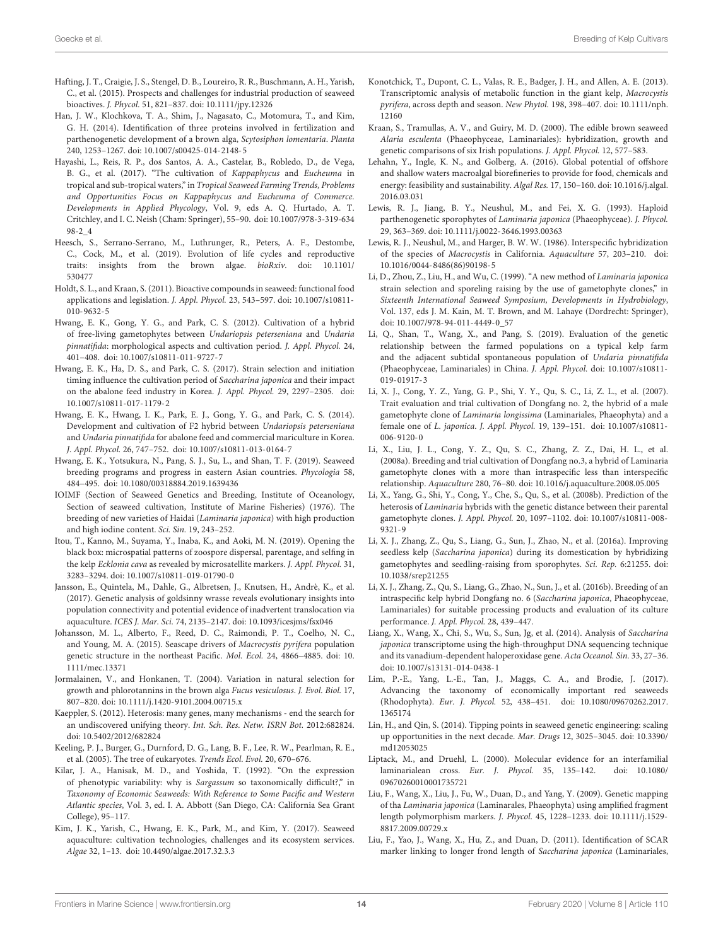- <span id="page-13-2"></span>Hafting, J. T., Craigie, J. S., Stengel, D. B., Loureiro, R. R., Buschmann, A. H., Yarish, C., et al. (2015). Prospects and challenges for industrial production of seaweed bioactives. J. Phycol. 51, 821–837. [doi: 10.1111/jpy.12326](https://doi.org/10.1111/jpy.12326)
- <span id="page-13-30"></span>Han, J. W., Klochkova, T. A., Shim, J., Nagasato, C., Motomura, T., and Kim, G. H. (2014). Identification of three proteins involved in fertilization and parthenogenetic development of a brown alga, Scytosiphon lomentaria. Planta 240, 1253–1267. [doi: 10.1007/s00425-014-2148-5](https://doi.org/10.1007/s00425-014-2148-5)
- <span id="page-13-6"></span>Hayashi, L., Reis, R. P., dos Santos, A. A., Castelar, B., Robledo, D., de Vega, B. G., et al. (2017). "The cultivation of Kappaphycus and Eucheuma in tropical and sub-tropical waters," in Tropical Seaweed Farming Trends, Problems and Opportunities Focus on Kappaphycus and Eucheuma of Commerce. Developments in Applied Phycology, Vol. 9, eds A. Q. Hurtado, A. T. Critchley, and I. C. Neish (Cham: Springer), 55–90. [doi: 10.1007/978-3-319-634](https://doi.org/10.1007/978-3-319-63498-2_4) [98-2\\_4](https://doi.org/10.1007/978-3-319-63498-2_4)
- <span id="page-13-9"></span>Heesch, S., Serrano-Serrano, M., Luthrunger, R., Peters, A. F., Destombe, C., Cock, M., et al. (2019). Evolution of life cycles and reproductive traits: insights from the brown algae. bioRxiv. [doi: 10.1101/](https://doi.org/10.1101/530477) [530477](https://doi.org/10.1101/530477)
- <span id="page-13-1"></span>Holdt, S. L., and Kraan, S. (2011). Bioactive compounds in seaweed: functional food applications and legislation. J. Appl. Phycol. 23, 543–597. [doi: 10.1007/s10811-](https://doi.org/10.1007/s10811-010-9632-5) [010-9632-5](https://doi.org/10.1007/s10811-010-9632-5)
- <span id="page-13-15"></span>Hwang, E. K., Gong, Y. G., and Park, C. S. (2012). Cultivation of a hybrid of free-living gametophytes between Undariopsis peterseniana and Undaria pinnatifida: morphological aspects and cultivation period. J. Appl. Phycol. 24, 401–408. [doi: 10.1007/s10811-011-9727-7](https://doi.org/10.1007/s10811-011-9727-7)
- <span id="page-13-19"></span>Hwang, E. K., Ha, D. S., and Park, C. S. (2017). Strain selection and initiation timing influence the cultivation period of Saccharina japonica and their impact on the abalone feed industry in Korea. J. Appl. Phycol. 29, 2297–2305. [doi:](https://doi.org/10.1007/s10811-017-1179-2) [10.1007/s10811-017-1179-2](https://doi.org/10.1007/s10811-017-1179-2)
- <span id="page-13-16"></span>Hwang, E. K., Hwang, I. K., Park, E. J., Gong, Y. G., and Park, C. S. (2014). Development and cultivation of F2 hybrid between Undariopsis peterseniana and Undaria pinnatifida for abalone feed and commercial mariculture in Korea. J. Appl. Phycol. 26, 747–752. [doi: 10.1007/s10811-013-0164-7](https://doi.org/10.1007/s10811-013-0164-7)
- <span id="page-13-8"></span>Hwang, E. K., Yotsukura, N., Pang, S. J., Su, L., and Shan, T. F. (2019). Seaweed breeding programs and progress in eastern Asian countries. Phycologia 58, 484–495. [doi: 10.1080/00318884.2019.1639436](https://doi.org/10.1080/00318884.2019.1639436)
- <span id="page-13-17"></span>IOIMF (Section of Seaweed Genetics and Breeding, Institute of Oceanology, Section of seaweed cultivation, Institute of Marine Fisheries) (1976). The breeding of new varieties of Haidai (Laminaria japonica) with high production and high iodine content. Sci. Sin. 19, 243–252.
- <span id="page-13-24"></span>Itou, T., Kanno, M., Suyama, Y., Inaba, K., and Aoki, M. N. (2019). Opening the black box: microspatial patterns of zoospore dispersal, parentage, and selfing in the kelp Ecklonia cava as revealed by microsatellite markers. J. Appl. Phycol. 31, 3283–3294. [doi: 10.1007/s10811-019-01790-0](https://doi.org/10.1007/s10811-019-01790-0)
- <span id="page-13-7"></span>Jansson, E., Quintela, M., Dahle, G., Albretsen, J., Knutsen, H., Andrè, K., et al. (2017). Genetic analysis of goldsinny wrasse reveals evolutionary insights into population connectivity and potential evidence of inadvertent translocation via aquaculture. ICES J. Mar. Sci. 74, 2135–2147. [doi: 10.1093/icesjms/fsx046](https://doi.org/10.1093/icesjms/fsx046)
- <span id="page-13-25"></span>Johansson, M. L., Alberto, F., Reed, D. C., Raimondi, P. T., Coelho, N. C., and Young, M. A. (2015). Seascape drivers of Macrocystis pyrifera population genetic structure in the northeast Pacific. Mol. Ecol. 24, 4866–4885. [doi: 10.](https://doi.org/10.1111/mec.13371) [1111/mec.13371](https://doi.org/10.1111/mec.13371)
- <span id="page-13-27"></span>Jormalainen, V., and Honkanen, T. (2004). Variation in natural selection for growth and phlorotannins in the brown alga Fucus vesiculosus. J. Evol. Biol. 17, 807–820. [doi: 10.1111/j.1420-9101.2004.00715.x](https://doi.org/10.1111/j.1420-9101.2004.00715.x)
- <span id="page-13-28"></span>Kaeppler, S. (2012). Heterosis: many genes, many mechanisms - end the search for an undiscovered unifying theory. Int. Sch. Res. Netw. ISRN Bot. 2012:682824. [doi: 10.5402/2012/682824](https://doi.org/10.5402/2012/682824)
- <span id="page-13-4"></span>Keeling, P. J., Burger, G., Durnford, D. G., Lang, B. F., Lee, R. W., Pearlman, R. E., et al. (2005). The tree of eukaryotes. Trends Ecol. Evol. 20, 670–676.
- <span id="page-13-13"></span>Kilar, J. A., Hanisak, M. D., and Yoshida, T. (1992). "On the expression of phenotypic variability: why is Sargassum so taxonomically difficult?," in Taxonomy of Economic Seaweeds: With Reference to Some Pacific and Western Atlantic species, Vol. 3, ed. I. A. Abbott (San Diego, CA: California Sea Grant College), 95–117.
- <span id="page-13-0"></span>Kim, J. K., Yarish, C., Hwang, E. K., Park, M., and Kim, Y. (2017). Seaweed aquaculture: cultivation technologies, challenges and its ecosystem services. Algae 32, 1–13. [doi: 10.4490/algae.2017.32.3.3](https://doi.org/10.4490/algae.2017.32.3.3)
- <span id="page-13-34"></span>Konotchick, T., Dupont, C. L., Valas, R. E., Badger, J. H., and Allen, A. E. (2013). Transcriptomic analysis of metabolic function in the giant kelp, Macrocystis pyrifera, across depth and season. New Phytol. 198, 398–407. [doi: 10.1111/nph.](https://doi.org/10.1111/nph.12160) [12160](https://doi.org/10.1111/nph.12160)
- <span id="page-13-12"></span>Kraan, S., Tramullas, A. V., and Guiry, M. D. (2000). The edible brown seaweed Alaria esculenta (Phaeophyceae, Laminariales): hybridization, growth and genetic comparisons of six Irish populations. J. Appl. Phycol. 12, 577–583.
- <span id="page-13-3"></span>Lehahn, Y., Ingle, K. N., and Golberg, A. (2016). Global potential of offshore and shallow waters macroalgal biorefineries to provide for food, chemicals and energy: feasibility and sustainability. Algal Res. 17, 150–160. [doi: 10.1016/j.algal.](https://doi.org/10.1016/j.algal.2016.03.031) [2016.03.031](https://doi.org/10.1016/j.algal.2016.03.031)
- <span id="page-13-10"></span>Lewis, R. J., Jiang, B. Y., Neushul, M., and Fei, X. G. (1993). Haploid parthenogenetic sporophytes of Laminaria japonica (Phaeophyceae). J. Phycol. 29, 363–369. [doi: 10.1111/j.0022-3646.1993.00363](https://doi.org/10.1111/j.0022-3646.1993.00363)
- <span id="page-13-14"></span>Lewis, R. J., Neushul, M., and Harger, B. W. W. (1986). Interspecific hybridization of the species of Macrocystis in California. Aquaculture 57, 203–210. [doi:](https://doi.org/10.1016/0044-8486(86)90198-5) [10.1016/0044-8486\(86\)90198-5](https://doi.org/10.1016/0044-8486(86)90198-5)
- <span id="page-13-20"></span>Li, D., Zhou, Z., Liu, H., and Wu, C. (1999). "A new method of Laminaria japonica strain selection and sporeling raising by the use of gametophyte clones," in Sixteenth International Seaweed Symposium, Developments in Hydrobiology, Vol. 137, eds J. M. Kain, M. T. Brown, and M. Lahaye (Dordrecht: Springer), [doi: 10.1007/978-94-011-4449-0\\_57](https://doi.org/10.1007/978-94-011-4449-0_57)
- <span id="page-13-26"></span>Li, Q., Shan, T., Wang, X., and Pang, S. (2019). Evaluation of the genetic relationship between the farmed populations on a typical kelp farm and the adjacent subtidal spontaneous population of Undaria pinnatifida (Phaeophyceae, Laminariales) in China. J. Appl. Phycol. [doi: 10.1007/s10811-](https://doi.org/10.1007/s10811-019-01917-3) [019-01917-3](https://doi.org/10.1007/s10811-019-01917-3)
- <span id="page-13-23"></span>Li, X. J., Cong, Y. Z., Yang, G. P., Shi, Y. Y., Qu, S. C., Li, Z. L., et al. (2007). Trait evaluation and trial cultivation of Dongfang no. 2, the hybrid of a male gametophyte clone of Laminaria longissima (Laminariales, Phaeophyta) and a female one of L. japonica. J. Appl. Phycol. 19, 139–151. [doi: 10.1007/s10811-](https://doi.org/10.1007/s10811-006-9120-0) [006-9120-0](https://doi.org/10.1007/s10811-006-9120-0)
- <span id="page-13-18"></span>Li, X., Liu, J. L., Cong, Y. Z., Qu, S. C., Zhang, Z. Z., Dai, H. L., et al. (2008a). Breeding and trial cultivation of Dongfang no.3, a hybrid of Laminaria gametophyte clones with a more than intraspecific less than interspecific relationship. Aquaculture 280, 76–80. [doi: 10.1016/j.aquaculture.2008.05.005](https://doi.org/10.1016/j.aquaculture.2008.05.005)
- <span id="page-13-29"></span>Li, X., Yang, G., Shi, Y., Cong, Y., Che, S., Qu, S., et al. (2008b). Prediction of the heterosis of Laminaria hybrids with the genetic distance between their parental gametophyte clones. J. Appl. Phycol. 20, 1097–1102. [doi: 10.1007/s10811-008-](https://doi.org/10.1007/s10811-008-9321-9) [9321-9](https://doi.org/10.1007/s10811-008-9321-9)
- <span id="page-13-21"></span>Li, X. J., Zhang, Z., Qu, S., Liang, G., Sun, J., Zhao, N., et al. (2016a). Improving seedless kelp (Saccharina japonica) during its domestication by hybridizing gametophytes and seedling-raising from sporophytes. Sci. Rep. 6:21255. [doi:](https://doi.org/10.1038/srep21255) [10.1038/srep21255](https://doi.org/10.1038/srep21255)
- <span id="page-13-22"></span>Li, X. J., Zhang, Z., Qu, S., Liang, G., Zhao, N., Sun, J., et al. (2016b). Breeding of an intraspecific kelp hybrid Dongfang no. 6 (Saccharina japonica, Phaeophyceae, Laminariales) for suitable processing products and evaluation of its culture performance. J. Appl. Phycol. 28, 439–447.
- <span id="page-13-31"></span>Liang, X., Wang, X., Chi, S., Wu, S., Sun, Jg, et al. (2014). Analysis of Saccharina japonica transcriptome using the high-throughput DNA sequencing technique and its vanadium-dependent haloperoxidase gene. Acta Oceanol. Sin. 33, 27–36. [doi: 10.1007/s13131-014-0438-1](https://doi.org/10.1007/s13131-014-0438-1)
- <span id="page-13-5"></span>Lim, P.-E., Yang, L.-E., Tan, J., Maggs, C. A., and Brodie, J. (2017). Advancing the taxonomy of economically important red seaweeds (Rhodophyta). Eur. J. Phycol. 52, 438–451. [doi: 10.1080/09670262.2017.](https://doi.org/10.1080/09670262.2017.1365174) [1365174](https://doi.org/10.1080/09670262.2017.1365174)
- <span id="page-13-35"></span>Lin, H., and Qin, S. (2014). Tipping points in seaweed genetic engineering: scaling up opportunities in the next decade. Mar. Drugs 12, 3025–3045. [doi: 10.3390/](https://doi.org/10.3390/md12053025) [md12053025](https://doi.org/10.3390/md12053025)
- <span id="page-13-11"></span>Liptack, M., and Druehl, L. (2000). Molecular evidence for an interfamilial laminarialean cross. Eur. J. Phycol. 35, 135–142. [doi: 10.1080/](https://doi.org/10.1080/09670260010001735721) [09670260010001735721](https://doi.org/10.1080/09670260010001735721)
- <span id="page-13-32"></span>Liu, F., Wang, X., Liu, J., Fu, W., Duan, D., and Yang, Y. (2009). Genetic mapping of tha Laminaria japonica (Laminarales, Phaeophyta) using amplified fragment length polymorphism markers. J. Phycol. 45, 1228–1233. [doi: 10.1111/j.1529-](https://doi.org/10.1111/j.1529-8817.2009.00729.x) [8817.2009.00729.x](https://doi.org/10.1111/j.1529-8817.2009.00729.x)
- <span id="page-13-33"></span>Liu, F., Yao, J., Wang, X., Hu, Z., and Duan, D. (2011). Identification of SCAR marker linking to longer frond length of Saccharina japonica (Laminariales,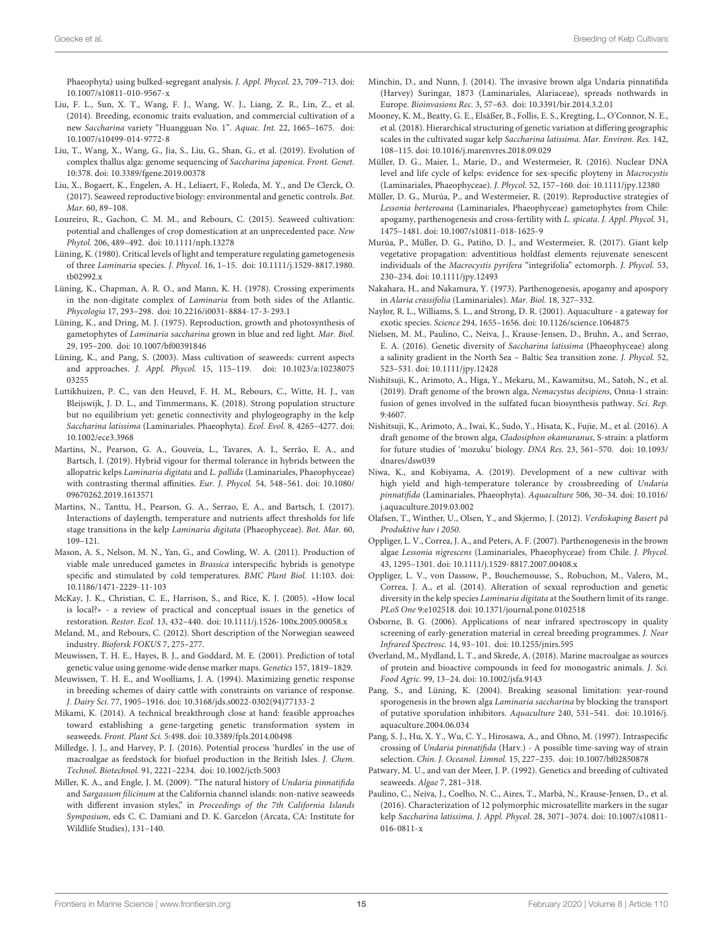Phaeophyta) using bulked-segregant analysis. J. Appl. Phycol. 23, 709–713. [doi:](https://doi.org/10.1007/s10811-010-9567-x) [10.1007/s10811-010-9567-x](https://doi.org/10.1007/s10811-010-9567-x)

- <span id="page-14-15"></span>Liu, F. L., Sun, X. T., Wang, F. J., Wang, W. J., Liang, Z. R., Lin, Z., et al. (2014). Breeding, economic traits evaluation, and commercial cultivation of a new Saccharina variety "Huangguan No. 1". Aquac. Int. 22, 1665–1675. [doi:](https://doi.org/10.1007/s10499-014-9772-8) [10.1007/s10499-014-9772-8](https://doi.org/10.1007/s10499-014-9772-8)
- <span id="page-14-34"></span>Liu, T., Wang, X., Wang, G., Jia, S., Liu, G., Shan, G., et al. (2019). Evolution of complex thallus alga: genome sequencing of Saccharina japonica. Front. Genet. 10:378. [doi: 10.3389/fgene.2019.00378](https://doi.org/10.3389/fgene.2019.00378)
- <span id="page-14-5"></span>Liu, X., Bogaert, K., Engelen, A. H., Leliaert, F., Roleda, M. Y., and De Clerck, O. (2017). Seaweed reproductive biology: environmental and genetic controls. Bot. Mar. 60, 89–108.
- <span id="page-14-24"></span>Loureiro, R., Gachon, C. M. M., and Rebours, C. (2015). Seaweed cultivation: potential and challenges of crop domestication at an unprecedented pace. New Phytol. 206, 489–492. [doi: 10.1111/nph.13278](https://doi.org/10.1111/nph.13278)
- <span id="page-14-17"></span>Lüning, K. (1980). Critical levels of light and temperature regulating gametogenesis of three Laminaria species. J. Phycol. 16, 1–15. [doi: 10.1111/j.1529-8817.1980.](https://doi.org/10.1111/j.1529-8817.1980.tb02992.x) [tb02992.x](https://doi.org/10.1111/j.1529-8817.1980.tb02992.x)
- <span id="page-14-12"></span>Lüning, K., Chapman, A. R. O., and Mann, K. H. (1978). Crossing experiments in the non-digitate complex of Laminaria from both sides of the Atlantic. Phycologia 17, 293–298. [doi: 10.2216/i0031-8884-17-3-293.1](https://doi.org/10.2216/i0031-8884-17-3-293.1)
- <span id="page-14-16"></span>Lüning, K., and Dring, M. J. (1975). Reproduction, growth and photosynthesis of gametophytes of Laminaria saccharina grown in blue and red light. Mar. Biol. 29, 195–200. [doi: 10.1007/bf00391846](https://doi.org/10.1007/bf00391846)
- <span id="page-14-4"></span>Lüning, K., and Pang, S. (2003). Mass cultivation of seaweeds: current aspects and approaches. J. Appl. Phycol. 15, 115–119. [doi: 10.1023/a:10238075](https://doi.org/10.1023/a:1023807503255) [03255](https://doi.org/10.1023/a:1023807503255)
- <span id="page-14-28"></span>Luttikhuizen, P. C., van den Heuvel, F. H. M., Rebours, C., Witte, H. J., van Bleijswijk, J. D. L., and Timmermans, K. (2018). Strong population structure but no equilibrium yet: genetic connectivity and phylogeography in the kelp Saccharina latissima (Laminariales. Phaeophyta). Ecol. Evol. 8, 4265–4277. [doi:](https://doi.org/10.1002/ece3.3968) [10.1002/ece3.3968](https://doi.org/10.1002/ece3.3968)
- <span id="page-14-13"></span>Martins, N., Pearson, G. A., Gouveia, L., Tavares, A. I., Serrão, E. A., and Bartsch, I. (2019). Hybrid vigour for thermal tolerance in hybrids between the allopatric kelps Laminaria digitata and L. pallida (Laminariales, Phaeophyceae) with contrasting thermal affinities. Eur. J. Phycol. 54, 548–561. [doi: 10.1080/](https://doi.org/10.1080/09670262.2019.1613571) [09670262.2019.1613571](https://doi.org/10.1080/09670262.2019.1613571)
- <span id="page-14-31"></span>Martins, N., Tanttu, H., Pearson, G. A., Serrao, E. A., and Bartsch, I. (2017). Interactions of daylength, temperature and nutrients affect thresholds for life stage transitions in the kelp Laminaria digitata (Phaeophyceae). Bot. Mar. 60, 109–121.
- <span id="page-14-30"></span>Mason, A. S., Nelson, M. N., Yan, G., and Cowling, W. A. (2011). Production of viable male unreduced gametes in Brassica interspecific hybrids is genotype specific and stimulated by cold temperatures. BMC Plant Biol. 11:103. [doi:](https://doi.org/10.1186/1471-2229-11-103) [10.1186/1471-2229-11-103](https://doi.org/10.1186/1471-2229-11-103)
- <span id="page-14-25"></span>McKay, J. K., Christian, C. E., Harrison, S., and Rice, K. J. (2005). «How local is local?» - a review of practical and conceptual issues in the genetics of restoration. Restor. Ecol. 13, 432–440. [doi: 10.1111/j.1526-100x.2005.00058.x](https://doi.org/10.1111/j.1526-100x.2005.00058.x)
- <span id="page-14-2"></span>Meland, M., and Rebours, C. (2012). Short description of the Norwegian seaweed industry. Bioforsk FOKUS 7, 275–277.
- <span id="page-14-37"></span>Meuwissen, T. H. E., Hayes, B. J., and Goddard, M. E. (2001). Prediction of total genetic value using genome-wide dense marker maps. Genetics 157, 1819–1829.
- <span id="page-14-33"></span>Meuwissen, T. H. E., and Woolliams, J. A. (1994). Maximizing genetic response in breeding schemes of dairy cattle with constraints on variance of response. J. Dairy Sci. 77, 1905–1916. [doi: 10.3168/jds.s0022-0302\(94\)77133-2](https://doi.org/10.3168/jds.s0022-0302(94)77133-2)
- <span id="page-14-38"></span>Mikami, K. (2014). A technical breakthrough close at hand: feasible approaches toward establishing a gene-targeting genetic transformation system in seaweeds. Front. Plant Sci. 5:498. [doi: 10.3389/fpls.2014.00498](https://doi.org/10.3389/fpls.2014.00498)
- <span id="page-14-1"></span>Milledge, J. J., and Harvey, P. J. (2016). Potential process 'hurdles' in the use of macroalgae as feedstock for biofuel production in the British Isles. J. Chem. Technol. Biotechnol. 91, 2221–2234. [doi: 10.1002/jctb.5003](https://doi.org/10.1002/jctb.5003)
- <span id="page-14-22"></span>Miller, K. A., and Engle, J. M. (2009). "The natural history of Undaria pinnatifida and Sargassum filicinum at the California channel islands: non-native seaweeds with different invasion styles," in Proceedings of the 7th California Islands Symposium, eds C. C. Damiani and D. K. Garcelon (Arcata, CA: Institute for Wildlife Studies), 131–140.
- <span id="page-14-23"></span>Minchin, D., and Nunn, J. (2014). The invasive brown alga Undaria pinnatifida (Harvey) Suringar, 1873 (Laminariales, Alariaceae), spreads nothwards in Europe. Bioinvasions Rec. 3, 57–63. [doi: 10.3391/bir.2014.3.2.01](https://doi.org/10.3391/bir.2014.3.2.01)
- <span id="page-14-29"></span>Mooney, K. M., Beatty, G. E., Elsäßer, B., Follis, E. S., Kregting, L., O'Connor, N. E., et al. (2018). Hierarchical structuring of genetic variation at differing geographic scales in the cultivated sugar kelp Saccharina latissima. Mar. Environ. Res. 142, 108–115. [doi: 10.1016/j.marenvres.2018.09.029](https://doi.org/10.1016/j.marenvres.2018.09.029)
- <span id="page-14-11"></span>Müller, D. G., Maier, I., Marie, D., and Westermeier, R. (2016). Nuclear DNA level and life cycle of kelps: evidence for sex-specific ployteny in Macrocystis (Laminariales, Phaeophyceae). J. Phycol. 52, 157–160. [doi: 10.1111/jpy.12380](https://doi.org/10.1111/jpy.12380)
- <span id="page-14-9"></span>Müller, D. G., Murúa, P., and Westermeier, R. (2019). Reproductive strategies of Lessonia berteroana (Laminariales, Phaeophyceae) gametophytes from Chile: apogamy, parthenogenesis and cross-fertility with L. spicata. J. Appl. Phycol. 31, 1475–1481. [doi: 10.1007/s10811-018-1625-9](https://doi.org/10.1007/s10811-018-1625-9)
- <span id="page-14-6"></span>Murúa, P., Müller, D. G., Patiño, D. J., and Westermeier, R. (2017). Giant kelp vegetative propagation: adventitious holdfast elements rejuvenate senescent individuals of the Macrocystis pyrifera "integrifolia" ectomorph. J. Phycol. 53, 230–234. [doi: 10.1111/jpy.12493](https://doi.org/10.1111/jpy.12493)
- <span id="page-14-7"></span>Nakahara, H., and Nakamura, Y. (1973). Parthenogenesis, apogamy and apospory in Alaria crassifolia (Laminariales). Mar. Biol. 18, 327–332.
- <span id="page-14-21"></span>Naylor, R. L., Williams, S. L., and Strong, D. R. (2001). Aquaculture - a gateway for exotic species. Science 294, 1655–1656. [doi: 10.1126/science.1064875](https://doi.org/10.1126/science.1064875)
- <span id="page-14-26"></span>Nielsen, M. M., Paulino, C., Neiva, J., Krause-Jensen, D., Bruhn, A., and Serrao, E. A. (2016). Genetic diversity of Saccharina latissima (Phaeophyceae) along a salinity gradient in the North Sea – Baltic Sea transition zone. J. Phycol. 52, 523–531. [doi: 10.1111/jpy.12428](https://doi.org/10.1111/jpy.12428)
- <span id="page-14-36"></span>Nishitsuji, K., Arimoto, A., Higa, Y., Mekaru, M., Kawamitsu, M., Satoh, N., et al. (2019). Draft genome of the brown alga, Nemacystus decipiens, Onna-1 strain: fusion of genes involved in the sulfated fucan biosynthesis pathway. Sci. Rep. 9:4607.
- <span id="page-14-35"></span>Nishitsuji, K., Arimoto, A., Iwai, K., Sudo, Y., Hisata, K., Fujie, M., et al. (2016). A draft genome of the brown alga, Cladosiphon okamuranus, S-strain: a platform for future studies of 'mozuku' biology. DNA Res. 23, 561–570. [doi: 10.1093/](https://doi.org/10.1093/dnares/dsw039) [dnares/dsw039](https://doi.org/10.1093/dnares/dsw039)
- <span id="page-14-20"></span>Niwa, K., and Kobiyama, A. (2019). Development of a new cultivar with high yield and high-temperature tolerance by crossbreeding of Undaria pinnatifida (Laminariales, Phaeophyta). Aquaculture 506, 30–34. [doi: 10.1016/](https://doi.org/10.1016/j.aquaculture.2019.03.002) [j.aquaculture.2019.03.002](https://doi.org/10.1016/j.aquaculture.2019.03.002)
- <span id="page-14-3"></span>Olafsen, T., Winther, U., Olsen, Y., and Skjermo, J. (2012). Verdiskaping Basert på Produktive hav i 2050.
- <span id="page-14-8"></span>Oppliger, L. V., Correa, J. A., and Peters, A. F. (2007). Parthenogenesis in the brown algae Lessonia nigrescens (Laminariales, Phaeophyceae) from Chile. J. Phycol. 43, 1295–1301. [doi: 10.1111/j.1529-8817.2007.00408.x](https://doi.org/10.1111/j.1529-8817.2007.00408.x)
- <span id="page-14-10"></span>Oppliger, L. V., von Dassow, P., Bouchemousse, S., Robuchon, M., Valero, M., Correa, J. A., et al. (2014). Alteration of sexual reproduction and genetic diversity in the kelp species Laminaria digitata at the Southern limit of its range. PLoS One 9:e102518. [doi: 10.1371/journal.pone.0102518](https://doi.org/10.1371/journal.pone.0102518)
- <span id="page-14-32"></span>Osborne, B. G. (2006). Applications of near infrared spectroscopy in quality screening of early-generation material in cereal breeding programmes. J. Near Infrared Spectrosc. 14, 93–101. [doi: 10.1255/jnirs.595](https://doi.org/10.1255/jnirs.595)
- <span id="page-14-0"></span>Øverland, M., Mydland, L. T., and Skrede, A. (2018). Marine macroalgae as sources of protein and bioactive compounds in feed for monogastric animals. J. Sci. Food Agric. 99, 13–24. [doi: 10.1002/jsfa.9143](https://doi.org/10.1002/jsfa.9143)
- <span id="page-14-19"></span>Pang, S., and Lüning, K. (2004). Breaking seasonal limitation: year-round sporogenesis in the brown alga Laminaria saccharina by blocking the transport of putative sporulation inhibitors. Aquaculture 240, 531–541. [doi: 10.1016/j.](https://doi.org/10.1016/j.aquaculture.2004.06.034) [aquaculture.2004.06.034](https://doi.org/10.1016/j.aquaculture.2004.06.034)
- <span id="page-14-18"></span>Pang, S. J., Hu, X. Y., Wu, C. Y., Hirosawa, A., and Ohno, M. (1997). Intraspecific crossing of Undaria pinnatifida (Harv.) - A possible time-saving way of strain selection. Chin. J. Oceanol. Limnol. 15, 227–235. [doi: 10.1007/bf02850878](https://doi.org/10.1007/bf02850878)
- <span id="page-14-14"></span>Patwary, M. U., and van der Meer, J. P. (1992). Genetics and breeding of cultivated seaweeds. Algae 7, 281–318.
- <span id="page-14-27"></span>Paulino, C., Neiva, J., Coelho, N. C., Aires, T., Marbà, N., Krause-Jensen, D., et al. (2016). Characterization of 12 polymorphic microsatellite markers in the sugar kelp Saccharina latissima. J. Appl. Phycol. 28, 3071–3074. [doi: 10.1007/s10811-](https://doi.org/10.1007/s10811-016-0811-x) [016-0811-x](https://doi.org/10.1007/s10811-016-0811-x)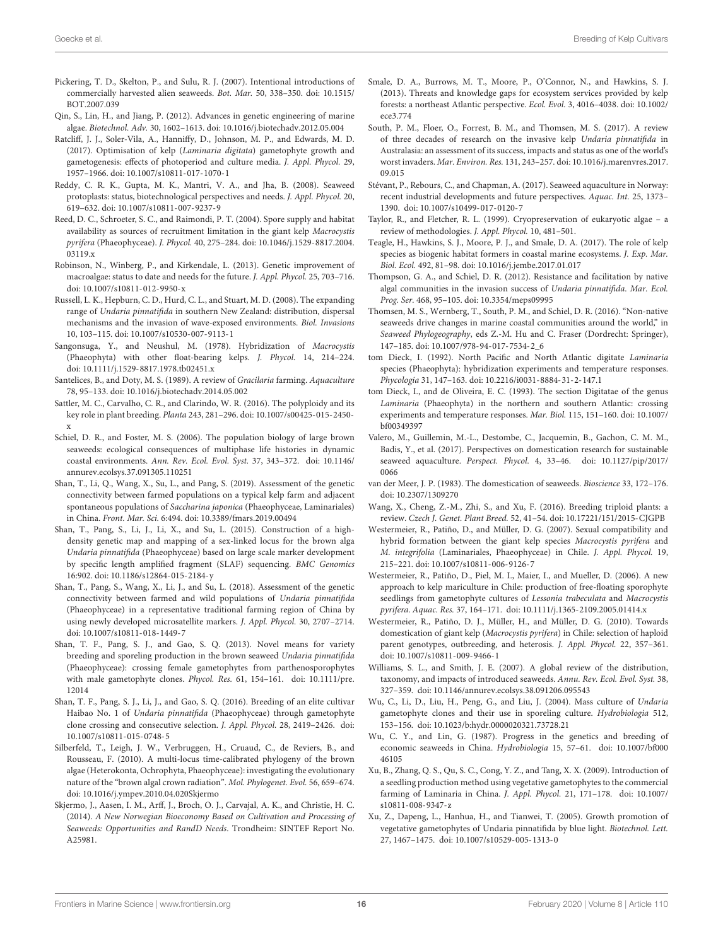- <span id="page-15-23"></span>Pickering, T. D., Skelton, P., and Sulu, R. J. (2007). Intentional introductions of commercially harvested alien seaweeds. Bot. Mar. 50, 338–350. [doi: 10.1515/](https://doi.org/10.1515/BOT.2007.039) [BOT.2007.039](https://doi.org/10.1515/BOT.2007.039)
- <span id="page-15-37"></span>Qin, S., Lin, H., and Jiang, P. (2012). Advances in genetic engineering of marine algae. Biotechnol. Adv. 30, 1602–1613. [doi: 10.1016/j.biotechadv.2012.05.004](https://doi.org/10.1016/j.biotechadv.2012.05.004)
- <span id="page-15-16"></span>Ratcliff, J. J., Soler-Vila, A., Hanniffy, D., Johnson, M. P., and Edwards, M. D. (2017). Optimisation of kelp (Laminaria digitata) gametophyte growth and gametogenesis: effects of photoperiod and culture media. J. Appl. Phycol. 29, 1957–1966. [doi: 10.1007/s10811-017-1070-1](https://doi.org/10.1007/s10811-017-1070-1)
- <span id="page-15-32"></span>Reddy, C. R. K., Gupta, M. K., Mantri, V. A., and Jha, B. (2008). Seaweed protoplasts: status, biotechnological perspectives and needs. J. Appl. Phycol. 20, 619–632. [doi: 10.1007/s10811-007-9237-9](https://doi.org/10.1007/s10811-007-9237-9)
- <span id="page-15-27"></span>Reed, D. C., Schroeter, S. C., and Raimondi, P. T. (2004). Spore supply and habitat availability as sources of recruitment limitation in the giant kelp Macrocystis pyrifera (Phaeophyceae). J. Phycol. 40, 275–284. [doi: 10.1046/j.1529-8817.2004.](https://doi.org/10.1046/j.1529-8817.2004.03119.x) 03119 x
- <span id="page-15-5"></span>Robinson, N., Winberg, P., and Kirkendale, L. (2013). Genetic improvement of macroalgae: status to date and needs for the future. J. Appl. Phycol. 25, 703–716. [doi: 10.1007/s10811-012-9950-x](https://doi.org/10.1007/s10811-012-9950-x)
- <span id="page-15-24"></span>Russell, L. K., Hepburn, C. D., Hurd, C. L., and Stuart, M. D. (2008). The expanding range of Undaria pinnatifida in southern New Zealand: distribution, dispersal mechanisms and the invasion of wave-exposed environments. Biol. Invasions 10, 103–115. [doi: 10.1007/s10530-007-9113-1](https://doi.org/10.1007/s10530-007-9113-1)
- <span id="page-15-11"></span>Sangonsuga, Y., and Neushul, M. (1978). Hybridization of Macrocystis (Phaeophyta) with other float-bearing kelps. J. Phycol. 14, 214–224. [doi: 10.1111/j.1529-8817.1978.tb02451.x](https://doi.org/10.1111/j.1529-8817.1978.tb02451.x)
- <span id="page-15-2"></span>Santelices, B., and Doty, M. S. (1989). A review of Gracilaria farming. Aquaculture 78, 95–133. [doi: 10.1016/j.biotechadv.2014.05.002](https://doi.org/10.1016/j.biotechadv.2014.05.002)
- <span id="page-15-30"></span>Sattler, M. C., Carvalho, C. R., and Clarindo, W. R. (2016). The polyploidy and its key role in plant breeding. Planta 243, 281–296. [doi: 10.1007/s00425-015-2450](https://doi.org/10.1007/s00425-015-2450-x) [x](https://doi.org/10.1007/s00425-015-2450-x)
- <span id="page-15-7"></span>Schiel, D. R., and Foster, M. S. (2006). The population biology of large brown seaweeds: ecological consequences of multiphase life histories in dynamic coastal environments. Ann. Rev. Ecol. Evol. Syst. 37, 343–372. [doi: 10.1146/](https://doi.org/10.1146/annurev.ecolsys.37.091305.110251) [annurev.ecolsys.37.091305.110251](https://doi.org/10.1146/annurev.ecolsys.37.091305.110251)
- <span id="page-15-29"></span>Shan, T., Li, Q., Wang, X., Su, L., and Pang, S. (2019). Assessment of the genetic connectivity between farmed populations on a typical kelp farm and adjacent spontaneous populations of Saccharina japonica (Phaeophyceae, Laminariales) in China. Front. Mar. Sci. 6:494. [doi: 10.3389/fmars.2019.00494](https://doi.org/10.3389/fmars.2019.00494)
- <span id="page-15-35"></span>Shan, T., Pang, S., Li, J., Li, X., and Su, L. (2015). Construction of a highdensity genetic map and mapping of a sex-linked locus for the brown alga Undaria pinnatifida (Phaeophyceae) based on large scale marker development by specific length amplified fragment (SLAF) sequencing. BMC Genomics 16:902. [doi: 10.1186/s12864-015-2184-y](https://doi.org/10.1186/s12864-015-2184-y)
- <span id="page-15-28"></span>Shan, T., Pang, S., Wang, X., Li, J., and Su, L. (2018). Assessment of the genetic connectivity between farmed and wild populations of Undaria pinnatifida (Phaeophyceae) in a representative traditional farming region of China by using newly developed microsatellite markers. J. Appl. Phycol. 30, 2707–2714. [doi: 10.1007/s10811-018-1449-7](https://doi.org/10.1007/s10811-018-1449-7)
- <span id="page-15-10"></span>Shan, T. F., Pang, S. J., and Gao, S. Q. (2013). Novel means for variety breeding and sporeling production in the brown seaweed Undaria pinnatifida (Phaeophyceae): crossing female gametophytes from parthenosporophytes with male gametophyte clones. Phycol. Res. 61, 154–161. [doi: 10.1111/pre.](https://doi.org/10.1111/pre.12014) [12014](https://doi.org/10.1111/pre.12014)
- <span id="page-15-20"></span>Shan, T. F., Pang, S. J., Li, J., and Gao, S. Q. (2016). Breeding of an elite cultivar Haibao No. 1 of Undaria pinnatifida (Phaeophyceae) through gametophyte clone crossing and consecutive selection. J. Appl. Phycol. 28, 2419–2426. [doi:](https://doi.org/10.1007/s10811-015-0748-5) [10.1007/s10811-015-0748-5](https://doi.org/10.1007/s10811-015-0748-5)
- <span id="page-15-36"></span>Silberfeld, T., Leigh, J. W., Verbruggen, H., Cruaud, C., de Reviers, B., and Rousseau, F. (2010). A multi-locus time-calibrated phylogeny of the brown algae (Heterokonta, Ochrophyta, Phaeophyceae): investigating the evolutionary nature of the "brown algal crown radiation". Mol. Phylogenet. Evol. 56, 659–674. [doi: 10.1016/j.ympev.2010.04.020Skjermo](https://doi.org/10.1016/j.ympev.2010.04.020Skjermo)
- <span id="page-15-0"></span>Skjermo, J., Aasen, I. M., Arff, J., Broch, O. J., Carvajal, A. K., and Christie, H. C. (2014). A New Norwegian Bioeconomy Based on Cultivation and Processing of Seaweeds: Opportunities and RandD Needs. Trondheim: SINTEF Report No. A25981.
- <span id="page-15-3"></span>Smale, D. A., Burrows, M. T., Moore, P., O'Connor, N., and Hawkins, S. J. (2013). Threats and knowledge gaps for ecosystem services provided by kelp forests: a northeast Atlantic perspective. Ecol. Evol. 3, 4016–4038. [doi: 10.1002/](https://doi.org/10.1002/ece3.774) [ece3.774](https://doi.org/10.1002/ece3.774)
- <span id="page-15-26"></span>South, P. M., Floer, O., Forrest, B. M., and Thomsen, M. S. (2017). A review of three decades of research on the invasive kelp Undaria pinnatifida in Australasia: an assessment of its success, impacts and status as one of the world's worst invaders. Mar. Environ. Res. 131, 243–257. [doi: 10.1016/j.marenvres.2017.](https://doi.org/10.1016/j.marenvres.2017.09.015) [09.015](https://doi.org/10.1016/j.marenvres.2017.09.015)
- <span id="page-15-1"></span>Stévant, P., Rebours, C., and Chapman, A. (2017). Seaweed aquaculture in Norway: recent industrial developments and future perspectives. Aquac. Int. 25, 1373– 1390. [doi: 10.1007/s10499-017-0120-7](https://doi.org/10.1007/s10499-017-0120-7)
- <span id="page-15-34"></span>Taylor, R., and Fletcher, R. L. (1999). Cryopreservation of eukaryotic algae – a review of methodologies. J. Appl. Phycol. 10, 481–501.
- <span id="page-15-4"></span>Teagle, H., Hawkins, S. J., Moore, P. J., and Smale, D. A. (2017). The role of kelp species as biogenic habitat formers in coastal marine ecosystems. J. Exp. Mar. Biol. Ecol. 492, 81–98. [doi: 10.1016/j.jembe.2017.01.017](https://doi.org/10.1016/j.jembe.2017.01.017)
- <span id="page-15-25"></span>Thompson, G. A., and Schiel, D. R. (2012). Resistance and facilitation by native algal communities in the invasion success of Undaria pinnatifida. Mar. Ecol. Prog. Ser. 468, 95–105. [doi: 10.3354/meps09995](https://doi.org/10.3354/meps09995)
- <span id="page-15-22"></span>Thomsen, M. S., Wernberg, T., South, P. M., and Schiel, D. R. (2016). "Non-native seaweeds drive changes in marine coastal communities around the world," in Seaweed Phylogeography, eds Z.-M. Hu and C. Fraser (Dordrecht: Springer), 147–185. [doi: 10.1007/978-94-017-7534-2\\_6](https://doi.org/10.1007/978-94-017-7534-2_6)
- <span id="page-15-12"></span>tom Dieck, I. (1992). North Pacific and North Atlantic digitate Laminaria species (Phaeophyta): hybridization experiments and temperature responses. Phycologia 31, 147–163. [doi: 10.2216/i0031-8884-31-2-147.1](https://doi.org/10.2216/i0031-8884-31-2-147.1)
- <span id="page-15-13"></span>tom Dieck, I., and de Oliveira, E. C. (1993). The section Digitatae of the genus Laminaria (Phaeophyta) in the northern and southern Atlantic: crossing experiments and temperature responses. Mar. Biol. 115, 151–160. [doi: 10.1007/](https://doi.org/10.1007/bf00349397) [bf00349397](https://doi.org/10.1007/bf00349397)
- <span id="page-15-6"></span>Valero, M., Guillemin, M.-L., Destombe, C., Jacquemin, B., Gachon, C. M. M., Badis, Y., et al. (2017). Perspectives on domestication research for sustainable seaweed aquaculture. Perspect. Phycol. 4, 33–46. [doi: 10.1127/pip/2017/](https://doi.org/10.1127/pip/2017/0066) [0066](https://doi.org/10.1127/pip/2017/0066)
- <span id="page-15-14"></span>van der Meer, J. P. (1983). The domestication of seaweeds. Bioscience 33, 172–176. [doi: 10.2307/1309270](https://doi.org/10.2307/1309270)
- <span id="page-15-31"></span>Wang, X., Cheng, Z.-M., Zhi, S., and Xu, F. (2016). Breeding triploid plants: a review. Czech J. Genet. Plant Breed. 52, 41–54. [doi: 10.17221/151/2015-CJGPB](https://doi.org/10.17221/151/2015-CJGPB)
- <span id="page-15-9"></span>Westermeier, R., Patiño, D., and Müller, D. G. (2007). Sexual compatibility and hybrid formation between the giant kelp species Macrocystis pyrifera and M. integrifolia (Laminariales, Phaeophyceae) in Chile. J. Appl. Phycol. 19, 215–221. [doi: 10.1007/s10811-006-9126-7](https://doi.org/10.1007/s10811-006-9126-7)
- <span id="page-15-18"></span>Westermeier, R., Patiño, D., Piel, M. I., Maier, I., and Mueller, D. (2006). A new approach to kelp mariculture in Chile: production of free-floating sporophyte seedlings from gametophyte cultures of Lessonia trabeculata and Macrocystis pyrifera. Aquac. Res. 37, 164–171. [doi: 10.1111/j.1365-2109.2005.01414.x](https://doi.org/10.1111/j.1365-2109.2005.01414.x)
- <span id="page-15-33"></span>Westermeier, R., Patiño, D. J., Müller, H., and Müller, D. G. (2010). Towards domestication of giant kelp (Macrocystis pyrifera) in Chile: selection of haploid parent genotypes, outbreeding, and heterosis. J. Appl. Phycol. 22, 357–361. [doi: 10.1007/s10811-009-9466-1](https://doi.org/10.1007/s10811-009-9466-1)
- <span id="page-15-21"></span>Williams, S. L., and Smith, J. E. (2007). A global review of the distribution, taxonomy, and impacts of introduced seaweeds. Annu. Rev. Ecol. Evol. Syst. 38, 327–359. [doi: 10.1146/annurev.ecolsys.38.091206.095543](https://doi.org/10.1146/annurev.ecolsys.38.091206.095543)
- <span id="page-15-17"></span>Wu, C., Li, D., Liu, H., Peng, G., and Liu, J. (2004). Mass culture of Undaria gametophyte clones and their use in sporeling culture. Hydrobiologia 512, 153–156. [doi: 10.1023/b:hydr.0000020321.73728.21](https://doi.org/10.1023/b:hydr.0000020321.73728.21)
- <span id="page-15-8"></span>Wu, C. Y., and Lin, G. (1987). Progress in the genetics and breeding of economic seaweeds in China. Hydrobiologia 15, 57–61. [doi: 10.1007/bf000](https://doi.org/10.1007/bf00046105) [46105](https://doi.org/10.1007/bf00046105)
- <span id="page-15-19"></span>Xu, B., Zhang, Q. S., Qu, S. C., Cong, Y. Z., and Tang, X. X. (2009). Introduction of a seedling production method using vegetative gametophytes to the commercial farming of Laminaria in China. J. Appl. Phycol. 21, 171–178. [doi: 10.1007/](https://doi.org/10.1007/s10811-008-9347-z) [s10811-008-9347-z](https://doi.org/10.1007/s10811-008-9347-z)
- <span id="page-15-15"></span>Xu, Z., Dapeng, L., Hanhua, H., and Tianwei, T. (2005). Growth promotion of vegetative gametophytes of Undaria pinnatifida by blue light. Biotechnol. Lett. 27, 1467–1475. [doi: 10.1007/s10529-005-1313-0](https://doi.org/10.1007/s10529-005-1313-0)